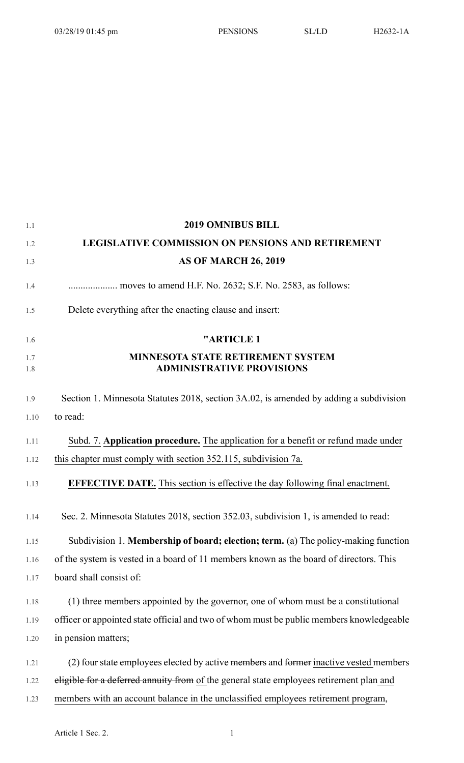1.1 **2019 OMNIBUS BILL**

| 1.2        | <b>LEGISLATIVE COMMISSION ON PENSIONS AND RETIREMENT</b>                                 |
|------------|------------------------------------------------------------------------------------------|
| 1.3        | <b>AS OF MARCH 26, 2019</b>                                                              |
| 1.4        |                                                                                          |
| 1.5        | Delete everything after the enacting clause and insert:                                  |
| 1.6        | "ARTICLE 1                                                                               |
| 1.7<br>1.8 | <b>MINNESOTA STATE RETIREMENT SYSTEM</b><br><b>ADMINISTRATIVE PROVISIONS</b>             |
| 1.9        | Section 1. Minnesota Statutes 2018, section 3A.02, is amended by adding a subdivision    |
| 1.10       | to read:                                                                                 |
| 1.11       | Subd. 7. Application procedure. The application for a benefit or refund made under       |
| 1.12       | this chapter must comply with section 352.115, subdivision 7a.                           |
| 1.13       | <b>EFFECTIVE DATE.</b> This section is effective the day following final enactment.      |
| 1.14       | Sec. 2. Minnesota Statutes 2018, section 352.03, subdivision 1, is amended to read:      |
| 1.15       | Subdivision 1. Membership of board; election; term. (a) The policy-making function       |
| 1.16       | of the system is vested in a board of 11 members known as the board of directors. This   |
| 1.17       | board shall consist of:                                                                  |
| 1.18       | (1) three members appointed by the governor, one of whom must be a constitutional        |
| 1.19       | officer or appointed state official and two of whom must be public members knowledgeable |
| 1.20       | in pension matters;                                                                      |
| 1.21       | (2) four state employees elected by active members and former inactive vested members    |
| 1.22       | eligible for a deferred annuity from of the general state employees retirement plan and  |
| 1.23       | members with an account balance in the unclassified employees retirement program,        |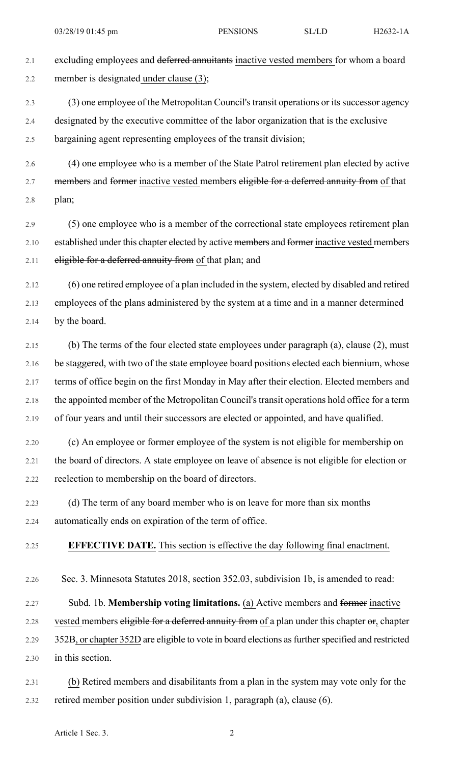2.1 excluding employees and deferred annuitants inactive vested members for whom a board 2.2 member is designated under clause (3);

2.3 (3) one employee of the Metropolitan Council's transit operations or its successor agency 2.4 designated by the executive committee of the labor organization that is the exclusive 2.5 bargaining agent representing employees of the transit division;

2.6 (4) one employee who is a member of the State Patrol retirement plan elected by active 2.7 members and former inactive vested members eligible for a deferred annuity from of that 2.8 plan;

2.9 (5) one employee who is a member of the correctional state employees retirement plan 2.10 established under this chapter elected by active members and former inactive vested members 2.11 eligible for a deferred annuity from of that plan; and

2.12 (6) one retired employee of a plan included in the system, elected by disabled and retired 2.13 employees of the plans administered by the system at a time and in a manner determined 2.14 by the board.

2.15 (b) The terms of the four elected state employees under paragraph (a), clause (2), must 2.16 be staggered, with two of the state employee board positions elected each biennium, whose 2.17 terms of office begin on the first Monday in May after their election. Elected members and 2.18 the appointed member of the Metropolitan Council's transit operations hold office for a term 2.19 of four years and until their successors are elected or appointed, and have qualified.

2.20 (c) An employee or former employee of the system is not eligible for membership on 2.21 the board of directors. A state employee on leave of absence is not eligible for election or 2.22 reelection to membership on the board of directors.

- 2.23 (d) The term of any board member who is on leave for more than six months 2.24 automatically ends on expiration of the term of office.
- 2.25 **EFFECTIVE DATE.** This section is effective the day following final enactment.
- 2.26 Sec. 3. Minnesota Statutes 2018, section 352.03, subdivision 1b, is amended to read:

2.27 Subd. 1b. **Membership voting limitations.** (a) Active members and former inactive 2.28 vested members eligible for a deferred annuity from of a plan under this chapter or, chapter 2.29 352B, or chapter 352D are eligible to vote in board elections as further specified and restricted

- 2.30 in this section.
- 2.31 (b) Retired members and disabilitants from a plan in the system may vote only for the 2.32 retired member position under subdivision 1, paragraph (a), clause (6).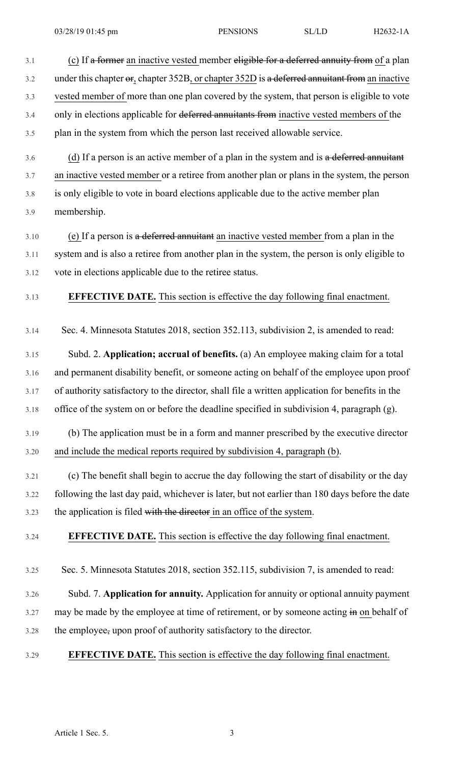3.6 (d) If a person is an active member of a plan in the system and is a deferred annuitant 3.7 an inactive vested member or a retiree from another plan or plans in the system, the person 3.8 is only eligible to vote in board elections applicable due to the active member plan 3.9 membership.

3.10 (e) If a person is a deferred annuitant an inactive vested member from a plan in the 3.11 system and is also a retiree from another plan in the system, the person is only eligible to 3.12 vote in elections applicable due to the retiree status.

3.13 **EFFECTIVE DATE.** This section is effective the day following final enactment.

3.14 Sec. 4. Minnesota Statutes 2018, section 352.113, subdivision 2, is amended to read:

3.15 Subd. 2. **Application; accrual of benefits.** (a) An employee making claim for a total 3.16 and permanent disability benefit, or someone acting on behalf of the employee upon proof 3.17 of authority satisfactory to the director, shall file a written application for benefits in the 3.18 office of the system on or before the deadline specified in subdivision 4, paragraph (g).

- 3.19 (b) The application must be in a form and manner prescribed by the executive director 3.20 and include the medical reports required by subdivision 4, paragraph (b).
- 3.21 (c) The benefit shall begin to accrue the day following the start of disability or the day 3.22 following the last day paid, whichever is later, but not earlier than 180 days before the date 3.23 the application is filed with the director in an office of the system.

# 3.24 **EFFECTIVE DATE.** This section is effective the day following final enactment.

- 3.25 Sec. 5. Minnesota Statutes 2018, section 352.115, subdivision 7, is amended to read:
- 3.26 Subd. 7. **Application for annuity.** Application for annuity or optional annuity payment 3.27 may be made by the employee at time of retirement, or by someone acting in on behalf of 3.28 the employee, upon proof of authority satisfactory to the director.
- 3.29 **EFFECTIVE DATE.** This section is effective the day following final enactment.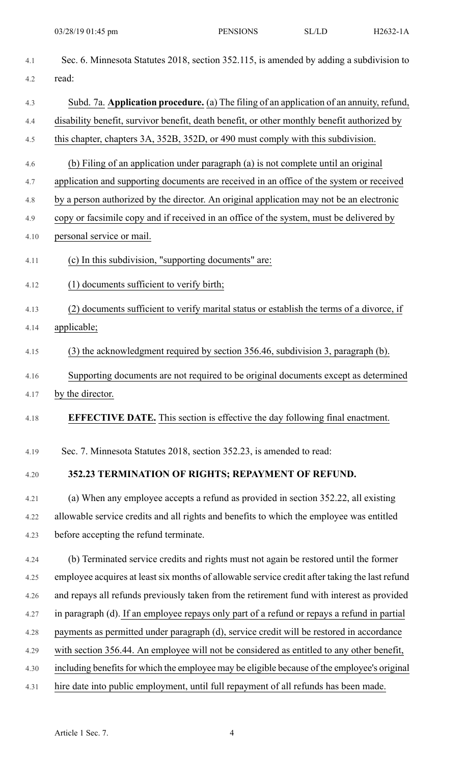| 4.1  | Sec. 6. Minnesota Statutes 2018, section 352.115, is amended by adding a subdivision to        |
|------|------------------------------------------------------------------------------------------------|
| 4.2  | read:                                                                                          |
| 4.3  | Subd. 7a. Application procedure. (a) The filing of an application of an annuity, refund,       |
| 4.4  | disability benefit, survivor benefit, death benefit, or other monthly benefit authorized by    |
| 4.5  | this chapter, chapters 3A, 352B, 352D, or 490 must comply with this subdivision.               |
| 4.6  | (b) Filing of an application under paragraph (a) is not complete until an original             |
| 4.7  | application and supporting documents are received in an office of the system or received       |
| 4.8  | by a person authorized by the director. An original application may not be an electronic       |
| 4.9  | copy or facsimile copy and if received in an office of the system, must be delivered by        |
| 4.10 | personal service or mail.                                                                      |
| 4.11 | (c) In this subdivision, "supporting documents" are:                                           |
| 4.12 | (1) documents sufficient to verify birth;                                                      |
| 4.13 | (2) documents sufficient to verify marital status or establish the terms of a divorce, if      |
| 4.14 | applicable;                                                                                    |
| 4.15 | (3) the acknowledgment required by section 356.46, subdivision 3, paragraph (b).               |
| 4.16 | Supporting documents are not required to be original documents except as determined            |
| 4.17 | by the director.                                                                               |
| 4.18 | <b>EFFECTIVE DATE.</b> This section is effective the day following final enactment.            |
| 4.19 | Sec. 7. Minnesota Statutes 2018, section 352.23, is amended to read:                           |
| 4.20 | 352.23 TERMINATION OF RIGHTS; REPAYMENT OF REFUND.                                             |
| 4.21 | (a) When any employee accepts a refund as provided in section 352.22, all existing             |
| 4.22 | allowable service credits and all rights and benefits to which the employee was entitled       |
| 4.23 | before accepting the refund terminate.                                                         |
| 4.24 | (b) Terminated service credits and rights must not again be restored until the former          |
| 4.25 | employee acquires at least six months of allowable service credit after taking the last refund |
| 4.26 | and repays all refunds previously taken from the retirement fund with interest as provided     |
| 4.27 | in paragraph (d). If an employee repays only part of a refund or repays a refund in partial    |
| 4.28 | payments as permitted under paragraph (d), service credit will be restored in accordance       |
| 4.29 | with section 356.44. An employee will not be considered as entitled to any other benefit,      |
| 4.30 | including benefits for which the employee may be eligible because of the employee's original   |
| 4.31 | hire date into public employment, until full repayment of all refunds has been made.           |
|      |                                                                                                |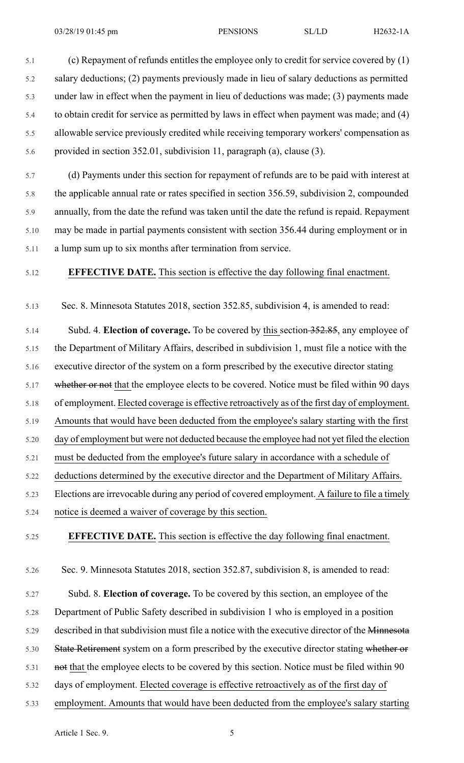5.1 (c) Repayment of refunds entitles the employee only to credit for service covered by (1) 5.2 salary deductions; (2) payments previously made in lieu of salary deductions as permitted 5.3 under law in effect when the payment in lieu of deductions was made; (3) payments made 5.4 to obtain credit for service as permitted by laws in effect when payment was made; and (4) 5.5 allowable service previously credited while receiving temporary workers' compensation as 5.6 provided in section 352.01, subdivision 11, paragraph (a), clause (3).

5.7 (d) Payments under this section for repayment of refunds are to be paid with interest at 5.8 the applicable annual rate or rates specified in section 356.59, subdivision 2, compounded 5.9 annually, from the date the refund was taken until the date the refund is repaid. Repayment 5.10 may be made in partial payments consistent with section 356.44 during employment or in 5.11 a lump sum up to six months after termination from service.

## 5.12 **EFFECTIVE DATE.** This section is effective the day following final enactment.

5.13 Sec. 8. Minnesota Statutes 2018, section 352.85, subdivision 4, is amended to read:

5.14 Subd. 4. **Election of coverage.** To be covered by this section 352.85, any employee of 5.15 the Department of Military Affairs, described in subdivision 1, must file a notice with the 5.16 executive director of the system on a form prescribed by the executive director stating 5.17 whether or not that the employee elects to be covered. Notice must be filed within 90 days 5.18 of employment. Elected coverage is effective retroactively as of the first day of employment. 5.19 Amounts that would have been deducted from the employee's salary starting with the first 5.20 day of employment but were not deducted because the employee had not yet filed the election 5.21 must be deducted from the employee's future salary in accordance with a schedule of 5.22 deductions determined by the executive director and the Department of Military Affairs. 5.23 Elections are irrevocable during any period of covered employment. A failure to file a timely 5.24 notice is deemed a waiver of coverage by this section.

# 5.25 **EFFECTIVE DATE.** This section is effective the day following final enactment.

5.26 Sec. 9. Minnesota Statutes 2018, section 352.87, subdivision 8, is amended to read:

5.27 Subd. 8. **Election of coverage.** To be covered by this section, an employee of the 5.28 Department of Public Safety described in subdivision 1 who is employed in a position 5.29 described in that subdivision must file a notice with the executive director of the Minnesota 5.30 State Retirement system on a form prescribed by the executive director stating whether or 5.31 not that the employee elects to be covered by this section. Notice must be filed within 90 5.32 days of employment. Elected coverage is effective retroactively as of the first day of 5.33 employment. Amounts that would have been deducted from the employee's salary starting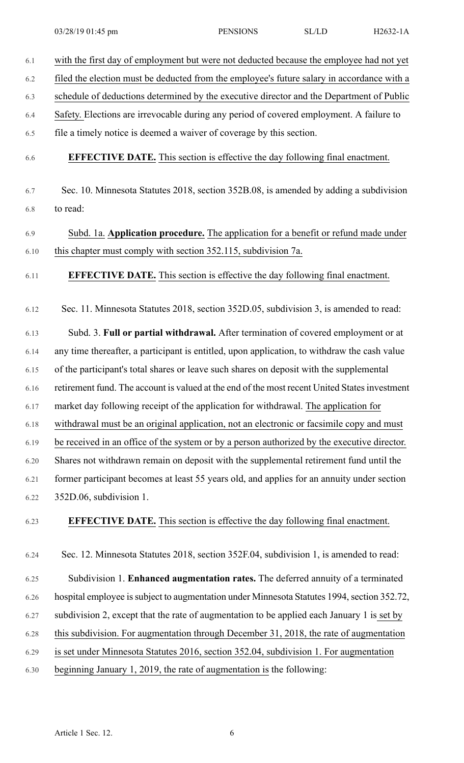| 6.1  | with the first day of employment but were not deducted because the employee had not yet       |
|------|-----------------------------------------------------------------------------------------------|
| 6.2  | filed the election must be deducted from the employee's future salary in accordance with a    |
| 6.3  | schedule of deductions determined by the executive director and the Department of Public      |
| 6.4  | Safety. Elections are irrevocable during any period of covered employment. A failure to       |
| 6.5  | file a timely notice is deemed a waiver of coverage by this section.                          |
| 6.6  | <b>EFFECTIVE DATE.</b> This section is effective the day following final enactment.           |
| 6.7  | Sec. 10. Minnesota Statutes 2018, section 352B.08, is amended by adding a subdivision         |
| 6.8  | to read:                                                                                      |
| 6.9  | Subd. 1a. Application procedure. The application for a benefit or refund made under           |
| 6.10 | this chapter must comply with section 352.115, subdivision 7a.                                |
| 6.11 | <b>EFFECTIVE DATE.</b> This section is effective the day following final enactment.           |
| 6.12 | Sec. 11. Minnesota Statutes 2018, section 352D.05, subdivision 3, is amended to read:         |
| 6.13 | Subd. 3. Full or partial withdrawal. After termination of covered employment or at            |
| 6.14 | any time thereafter, a participant is entitled, upon application, to withdraw the cash value  |
| 6.15 | of the participant's total shares or leave such shares on deposit with the supplemental       |
| 6.16 | retirement fund. The account is valued at the end of the most recent United States investment |
| 6.17 | market day following receipt of the application for withdrawal. The application for           |
| 6.18 | withdrawal must be an original application, not an electronic or facsimile copy and must      |
| 6.19 | be received in an office of the system or by a person authorized by the executive director.   |
| 6.20 | Shares not withdrawn remain on deposit with the supplemental retirement fund until the        |
| 6.21 | former participant becomes at least 55 years old, and applies for an annuity under section    |
| 6.22 | 352D.06, subdivision 1.                                                                       |
| 6.23 | <b>EFFECTIVE DATE.</b> This section is effective the day following final enactment.           |
| 6.24 | Sec. 12. Minnesota Statutes 2018, section 352F.04, subdivision 1, is amended to read:         |
| 6.25 | Subdivision 1. Enhanced augmentation rates. The deferred annuity of a terminated              |
| 6.26 | hospital employee is subject to augmentation under Minnesota Statutes 1994, section 352.72,   |
| 6.27 | subdivision 2, except that the rate of augmentation to be applied each January 1 is set by    |
| 6.28 | this subdivision. For augmentation through December 31, 2018, the rate of augmentation        |
| 6.29 | is set under Minnesota Statutes 2016, section 352.04, subdivision 1. For augmentation         |
| 6.30 | beginning January 1, 2019, the rate of augmentation is the following:                         |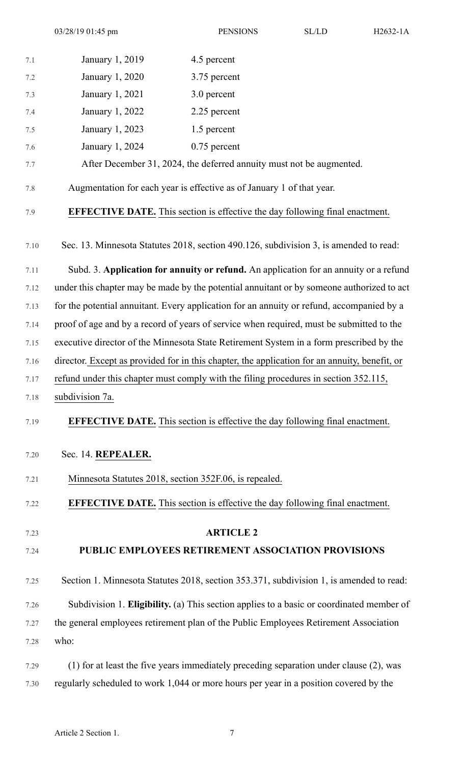| 7.1  | January 1, 2019                                                                               | 4.5 percent                                                                               |
|------|-----------------------------------------------------------------------------------------------|-------------------------------------------------------------------------------------------|
| 7.2  | January 1, 2020                                                                               | 3.75 percent                                                                              |
| 7.3  | January 1, 2021                                                                               | 3.0 percent                                                                               |
| 7.4  | January 1, 2022                                                                               | 2.25 percent                                                                              |
| 7.5  | January 1, 2023                                                                               | 1.5 percent                                                                               |
| 7.6  | January 1, 2024                                                                               | $0.75$ percent                                                                            |
| 7.7  |                                                                                               | After December 31, 2024, the deferred annuity must not be augmented.                      |
| 7.8  |                                                                                               | Augmentation for each year is effective as of January 1 of that year.                     |
| 7.9  |                                                                                               | <b>EFFECTIVE DATE.</b> This section is effective the day following final enactment.       |
| 7.10 |                                                                                               | Sec. 13. Minnesota Statutes 2018, section 490.126, subdivision 3, is amended to read:     |
| 7.11 |                                                                                               | Subd. 3. Application for annuity or refund. An application for an annuity or a refund     |
| 7.12 |                                                                                               | under this chapter may be made by the potential annuitant or by someone authorized to act |
| 7.13 |                                                                                               | for the potential annuitant. Every application for an annuity or refund, accompanied by a |
| 7.14 |                                                                                               | proof of age and by a record of years of service when required, must be submitted to the  |
| 7.15 | executive director of the Minnesota State Retirement System in a form prescribed by the       |                                                                                           |
| 7.16 | director. Except as provided for in this chapter, the application for an annuity, benefit, or |                                                                                           |
| 7.17 | refund under this chapter must comply with the filing procedures in section 352.115,          |                                                                                           |
| 7.18 | subdivision 7a.                                                                               |                                                                                           |
| 7.19 |                                                                                               | <b>EFFECTIVE DATE.</b> This section is effective the day following final enactment.       |
| 7.20 | Sec. 14. REPEALER.                                                                            |                                                                                           |
| 7.21 |                                                                                               | Minnesota Statutes 2018, section 352F.06, is repealed.                                    |
| 7.22 |                                                                                               | <b>EFFECTIVE DATE.</b> This section is effective the day following final enactment.       |
| 7.23 |                                                                                               | <b>ARTICLE 2</b>                                                                          |
| 7.24 |                                                                                               | PUBLIC EMPLOYEES RETIREMENT ASSOCIATION PROVISIONS                                        |
| 7.25 |                                                                                               | Section 1. Minnesota Statutes 2018, section 353.371, subdivision 1, is amended to read:   |
| 7.26 |                                                                                               | Subdivision 1. Eligibility. (a) This section applies to a basic or coordinated member of  |
| 7.27 |                                                                                               | the general employees retirement plan of the Public Employees Retirement Association      |
| 7.28 | who:                                                                                          |                                                                                           |
| 7.29 |                                                                                               | (1) for at least the five years immediately preceding separation under clause (2), was    |
| 7.30 |                                                                                               | regularly scheduled to work 1,044 or more hours per year in a position covered by the     |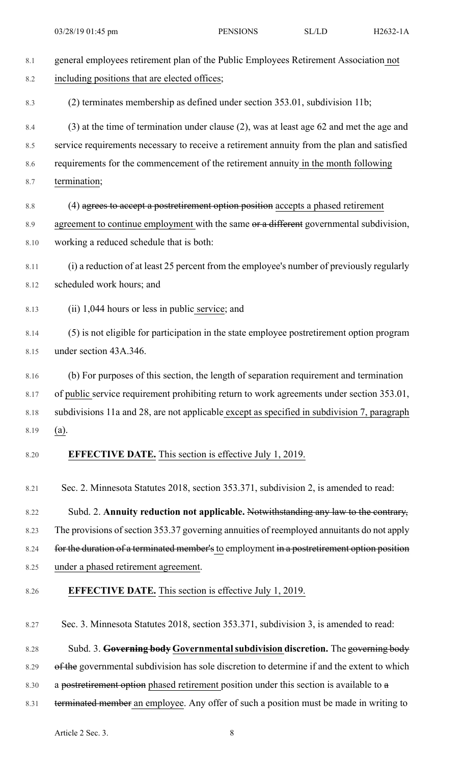| $8.1\,$ | general employees retirement plan of the Public Employees Retirement Association not        |
|---------|---------------------------------------------------------------------------------------------|
| 8.2     | including positions that are elected offices;                                               |
| 8.3     | (2) terminates membership as defined under section 353.01, subdivision 11b;                 |
| 8.4     | (3) at the time of termination under clause (2), was at least age 62 and met the age and    |
| 8.5     | service requirements necessary to receive a retirement annuity from the plan and satisfied  |
| 8.6     | requirements for the commencement of the retirement annuity in the month following          |
| 8.7     | termination;                                                                                |
| $8.8\,$ | (4) agrees to accept a postretirement option position accepts a phased retirement           |
| 8.9     | agreement to continue employment with the same or a different governmental subdivision,     |
| 8.10    | working a reduced schedule that is both:                                                    |
| 8.11    | (i) a reduction of at least 25 percent from the employee's number of previously regularly   |
| 8.12    | scheduled work hours; and                                                                   |
| 8.13    | (ii) 1,044 hours or less in public service; and                                             |
| 8.14    | (5) is not eligible for participation in the state employee postretirement option program   |
| 8.15    | under section 43A.346.                                                                      |
| 8.16    | (b) For purposes of this section, the length of separation requirement and termination      |
| 8.17    | of public service requirement prohibiting return to work agreements under section 353.01,   |
| 8.18    | subdivisions 11a and 28, are not applicable except as specified in subdivision 7, paragraph |
| 8.19    | $(a)$ .                                                                                     |
| 8.20    | <b>EFFECTIVE DATE.</b> This section is effective July 1, 2019.                              |
| 8.21    | Sec. 2. Minnesota Statutes 2018, section 353.371, subdivision 2, is amended to read:        |
| 8.22    | Subd. 2. Annuity reduction not applicable. Notwithstanding any law to the contrary,         |
| 8.23    | The provisions of section 353.37 governing annuities of reemployed annuitants do not apply  |
| 8.24    | for the duration of a terminated member's to employment in a postretirement option position |
| 8.25    | under a phased retirement agreement.                                                        |
| 8.26    | <b>EFFECTIVE DATE.</b> This section is effective July 1, 2019.                              |
| 8.27    | Sec. 3. Minnesota Statutes 2018, section 353.371, subdivision 3, is amended to read:        |
| 8.28    | Subd. 3. Governing body Governmental subdivision discretion. The governing body             |
| 8.29    | of the governmental subdivision has sole discretion to determine if and the extent to which |
| 8.30    | a postretirement option phased retirement position under this section is available to a     |
| 8.31    | terminated member an employee. Any offer of such a position must be made in writing to      |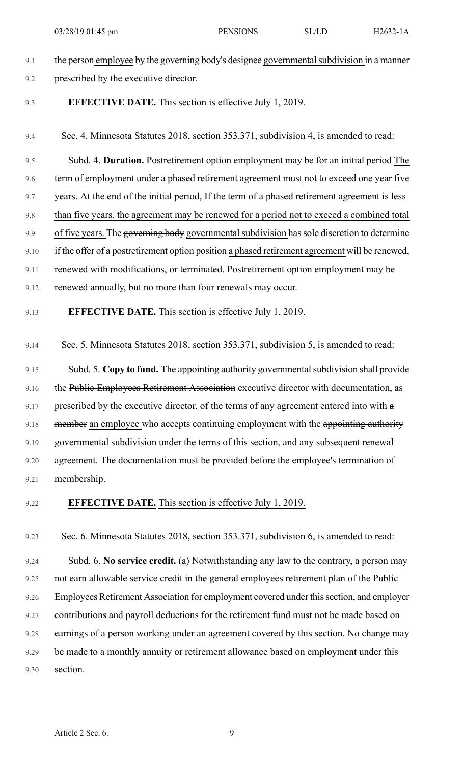- 9.1 the person employee by the governing body's designee governmental subdivision in a manner 9.2 prescribed by the executive director. 9.3 **EFFECTIVE DATE.** This section is effective July 1, 2019. 9.4 Sec. 4. Minnesota Statutes 2018, section 353.371, subdivision 4, is amended to read: 9.5 Subd. 4. **Duration.** Postretirement option employment may be for an initial period The 9.6 term of employment under a phased retirement agreement must not to exceed one year five 9.7 years. At the end of the initial period, If the term of a phased retirement agreement is less 9.8 than five years, the agreement may be renewed for a period not to exceed a combined total 9.9 of five years. The governing body governmental subdivision has sole discretion to determine 9.10 if the offer of a postretirement option position a phased retirement agreement will be renewed, 9.11 renewed with modifications, or terminated. Postretirement option employment may be 9.12 renewed annually, but no more than four renewals may occur. 9.13 **EFFECTIVE DATE.** This section is effective July 1, 2019. 9.14 Sec. 5. Minnesota Statutes 2018, section 353.371, subdivision 5, is amended to read: 9.15 Subd. 5. Copy to fund. The appointing authority governmental subdivision shall provide 9.16 the Public Employees Retirement Association executive director with documentation, as 9.17 prescribed by the executive director, of the terms of any agreement entered into with a 9.18 member an employee who accepts continuing employment with the appointing authority 9.19 governmental subdivision under the terms of this section, and any subsequent renewal 9.20 agreement. The documentation must be provided before the employee's termination of 9.21 membership. 9.22 **EFFECTIVE DATE.** This section is effective July 1, 2019. 9.23 Sec. 6. Minnesota Statutes 2018, section 353.371, subdivision 6, is amended to read: 9.24 Subd. 6. **No service credit.** (a) Notwithstanding any law to the contrary, a person may 9.25 not earn allowable service eredit in the general employees retirement plan of the Public 9.26 Employees Retirement Association for employment covered under this section, and employer 9.27 contributions and payroll deductions for the retirement fund must not be made based on
- 9.28 earnings of a person working under an agreement covered by this section. No change may
- 9.29 be made to a monthly annuity or retirement allowance based on employment under this 9.30 section.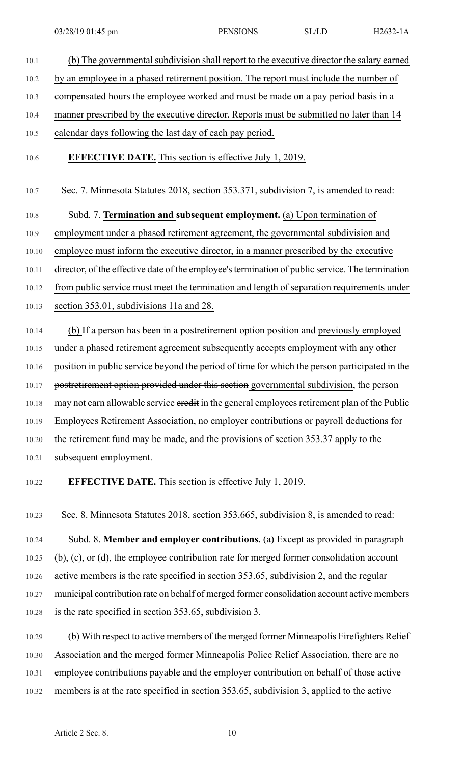10.1 (b) The governmental subdivision shall report to the executive director the salary earned 10.2 by an employee in a phased retirement position. The report must include the number of 10.3 compensated hours the employee worked and must be made on a pay period basis in a 10.4 manner prescribed by the executive director. Reports must be submitted no later than 14 10.5 calendar days following the last day of each pay period. 10.6 **EFFECTIVE DATE.** This section is effective July 1, 2019. 10.7 Sec. 7. Minnesota Statutes 2018, section 353.371, subdivision 7, is amended to read:

10.8 Subd. 7. **Termination and subsequent employment.** (a) Upon termination of 10.9 employment under a phased retirement agreement, the governmental subdivision and 10.10 employee must inform the executive director, in a manner prescribed by the executive 10.11 director, of the effective date of the employee'stermination of public service. The termination 10.12 from public service must meet the termination and length of separation requirements under 10.13 section 353.01, subdivisions 11a and 28.

10.14 (b) If a person has been in a postretirement option position and previously employed 10.15 under a phased retirement agreement subsequently accepts employment with any other 10.16 position in public service beyond the period of time for which the person participated in the 10.17 postretirement option provided under this section governmental subdivision, the person 10.18 may not earn allowable service eredit in the general employees retirement plan of the Public 10.19 Employees Retirement Association, no employer contributions or payroll deductions for 10.20 the retirement fund may be made, and the provisions of section 353.37 apply to the 10.21 subsequent employment.

# 10.22 **EFFECTIVE DATE.** This section is effective July 1, 2019.

10.23 Sec. 8. Minnesota Statutes 2018, section 353.665, subdivision 8, is amended to read:

10.24 Subd. 8. **Member and employer contributions.** (a) Except as provided in paragraph 10.25 (b), (c), or (d), the employee contribution rate for merged former consolidation account 10.26 active members is the rate specified in section 353.65, subdivision 2, and the regular 10.27 municipal contribution rate on behalf of merged former consolidation account active members 10.28 is the rate specified in section 353.65, subdivision 3.

10.29 (b) With respect to active members of the merged former Minneapolis Firefighters Relief 10.30 Association and the merged former Minneapolis Police Relief Association, there are no 10.31 employee contributions payable and the employer contribution on behalf of those active 10.32 members is at the rate specified in section 353.65, subdivision 3, applied to the active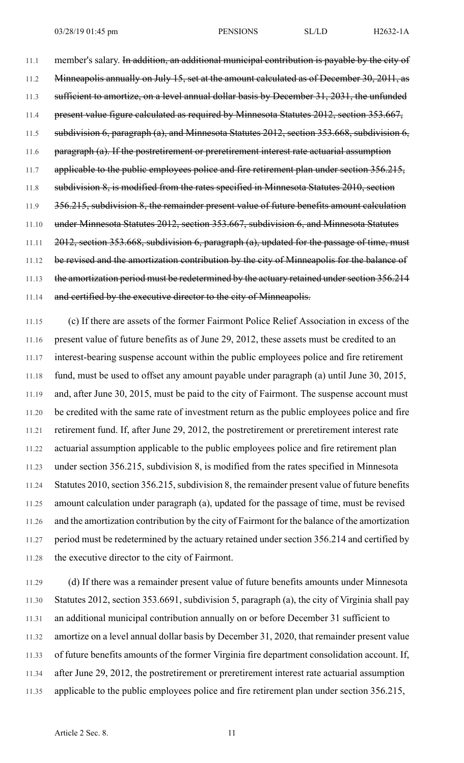11.1 member's salary. In addition, an additional municipal contribution is payable by the city of 11.2 Minneapolis annually on July 15, set at the amount calculated as of December 30, 2011, as 11.3 sufficient to amortize, on a level annual dollar basis by December 31, 2031, the unfunded 11.4 present value figure calculated as required by Minnesota Statutes 2012, section 353.667, 11.5 subdivision 6, paragraph (a), and Minnesota Statutes 2012, section 353.668, subdivision 6, 11.6 paragraph (a). If the postretirement or preretirement interest rate actuarial assumption 11.7 applicable to the public employees police and fire retirement plan under section 356.215, 11.8 subdivision 8, is modified from the rates specified in Minnesota Statutes 2010, section

11.9 356.215, subdivision 8, the remainder present value of future benefits amount calculation

11.11 2012, section 353.668, subdivision 6, paragraph (a), updated for the passage of time, must

11.10 under Minnesota Statutes 2012, section 353.667, subdivision 6, and Minnesota Statutes

11.12 be revised and the amortization contribution by the city of Minneapolis for the balance of

11.13 the amortization period must be redetermined by the actuary retained under section 356.214

11.14 and certified by the executive director to the city of Minneapolis.

11.15 (c) If there are assets of the former Fairmont Police Relief Association in excess of the 11.16 present value of future benefits as of June 29, 2012, these assets must be credited to an 11.17 interest-bearing suspense account within the public employees police and fire retirement 11.18 fund, must be used to offset any amount payable under paragraph (a) until June 30, 2015, 11.19 and, after June 30, 2015, must be paid to the city of Fairmont. The suspense account must 11.20 be credited with the same rate of investment return as the public employees police and fire 11.21 retirement fund. If, after June 29, 2012, the postretirement or preretirement interest rate 11.22 actuarial assumption applicable to the public employees police and fire retirement plan 11.23 under section 356.215, subdivision 8, is modified from the rates specified in Minnesota 11.24 Statutes 2010, section 356.215, subdivision 8, the remainder present value of future benefits 11.25 amount calculation under paragraph (a), updated for the passage of time, must be revised 11.26 and the amortization contribution by the city of Fairmont for the balance of the amortization 11.27 period must be redetermined by the actuary retained under section 356.214 and certified by 11.28 the executive director to the city of Fairmont.

11.29 (d) If there was a remainder present value of future benefits amounts under Minnesota 11.30 Statutes 2012, section 353.6691, subdivision 5, paragraph (a), the city of Virginia shall pay 11.31 an additional municipal contribution annually on or before December 31 sufficient to 11.32 amortize on a level annual dollar basis by December 31, 2020, that remainder present value 11.33 of future benefits amounts of the former Virginia fire department consolidation account. If, 11.34 after June 29, 2012, the postretirement or preretirement interest rate actuarial assumption 11.35 applicable to the public employees police and fire retirement plan under section 356.215,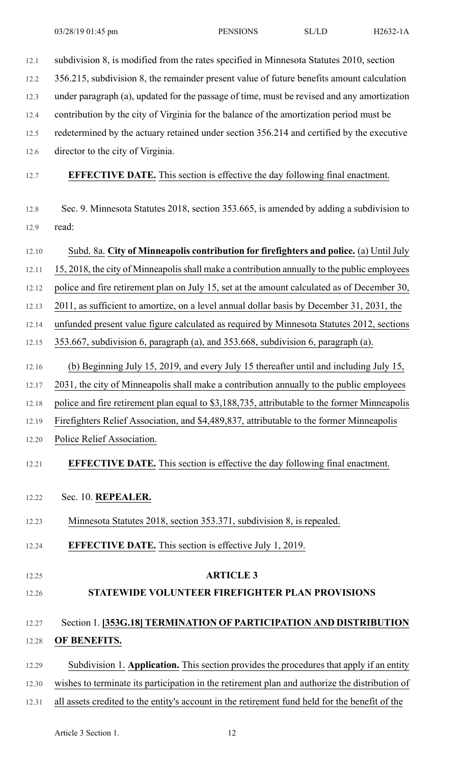| 12.1  | subdivision 8, is modified from the rates specified in Minnesota Statutes 2010, section        |
|-------|------------------------------------------------------------------------------------------------|
| 12.2  | 356.215, subdivision 8, the remainder present value of future benefits amount calculation      |
| 12.3  | under paragraph (a), updated for the passage of time, must be revised and any amortization     |
| 12.4  | contribution by the city of Virginia for the balance of the amortization period must be        |
| 12.5  | redetermined by the actuary retained under section 356.214 and certified by the executive      |
| 12.6  | director to the city of Virginia.                                                              |
| 12.7  | <b>EFFECTIVE DATE.</b> This section is effective the day following final enactment.            |
| 12.8  | Sec. 9. Minnesota Statutes 2018, section 353.665, is amended by adding a subdivision to        |
| 12.9  | read:                                                                                          |
| 12.10 | Subd. 8a. City of Minneapolis contribution for firefighters and police. (a) Until July         |
| 12.11 | 15, 2018, the city of Minneapolis shall make a contribution annually to the public employees   |
| 12.12 | police and fire retirement plan on July 15, set at the amount calculated as of December 30,    |
| 12.13 | 2011, as sufficient to amortize, on a level annual dollar basis by December 31, 2031, the      |
| 12.14 | unfunded present value figure calculated as required by Minnesota Statutes 2012, sections      |
| 12.15 | 353.667, subdivision 6, paragraph (a), and 353.668, subdivision 6, paragraph (a).              |
| 12.16 | (b) Beginning July 15, 2019, and every July 15 thereafter until and including July 15,         |
| 12.17 | 2031, the city of Minneapolis shall make a contribution annually to the public employees       |
| 12.18 | police and fire retirement plan equal to \$3,188,735, attributable to the former Minneapolis   |
| 12.19 | Firefighters Relief Association, and \$4,489,837, attributable to the former Minneapolis       |
| 12.20 | Police Relief Association.                                                                     |
| 12.21 | <b>EFFECTIVE DATE.</b> This section is effective the day following final enactment.            |
| 12.22 | Sec. 10. REPEALER.                                                                             |
| 12.23 | Minnesota Statutes 2018, section 353.371, subdivision 8, is repealed.                          |
| 12.24 | <b>EFFECTIVE DATE.</b> This section is effective July 1, 2019.                                 |
| 12.25 | <b>ARTICLE 3</b>                                                                               |
| 12.26 | STATEWIDE VOLUNTEER FIREFIGHTER PLAN PROVISIONS                                                |
| 12.27 | Section 1. [353G.18] TERMINATION OF PARTICIPATION AND DISTRIBUTION                             |
| 12.28 | OF BENEFITS.                                                                                   |
| 12.29 | Subdivision 1. Application. This section provides the procedures that apply if an entity       |
| 12.30 | wishes to terminate its participation in the retirement plan and authorize the distribution of |
| 12.31 | all assets credited to the entity's account in the retirement fund held for the benefit of the |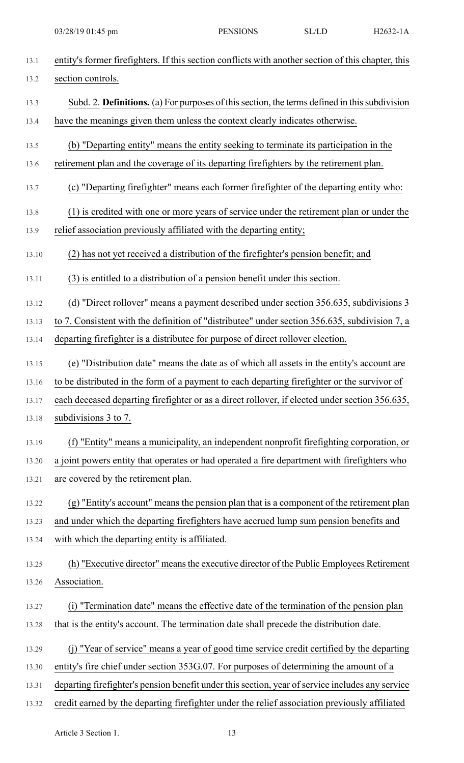| 13.2  | section controls.                                                                                    |
|-------|------------------------------------------------------------------------------------------------------|
| 13.3  | Subd. 2. <b>Definitions.</b> (a) For purposes of this section, the terms defined in this subdivision |
| 13.4  | have the meanings given them unless the context clearly indicates otherwise.                         |
| 13.5  | (b) "Departing entity" means the entity seeking to terminate its participation in the                |
| 13.6  | retirement plan and the coverage of its departing firefighters by the retirement plan.               |
| 13.7  | (c) "Departing firefighter" means each former firefighter of the departing entity who:               |
| 13.8  | (1) is credited with one or more years of service under the retirement plan or under the             |
| 13.9  | relief association previously affiliated with the departing entity;                                  |
| 13.10 | (2) has not yet received a distribution of the firefighter's pension benefit; and                    |
| 13.11 | (3) is entitled to a distribution of a pension benefit under this section.                           |
| 13.12 | (d) "Direct rollover" means a payment described under section 356.635, subdivisions 3                |
| 13.13 | to 7. Consistent with the definition of "distributee" under section 356.635, subdivision 7, a        |
| 13.14 | departing firefighter is a distributee for purpose of direct rollover election.                      |
| 13.15 | (e) "Distribution date" means the date as of which all assets in the entity's account are            |
| 13.16 | to be distributed in the form of a payment to each departing firefighter or the survivor of          |
| 13.17 | each deceased departing firefighter or as a direct rollover, if elected under section 356.635,       |
| 13.18 | subdivisions 3 to 7.                                                                                 |
| 13.19 | (f) "Entity" means a municipality, an independent nonprofit firefighting corporation, or             |
| 13.20 | a joint powers entity that operates or had operated a fire department with firefighters who          |
| 13.21 | are covered by the retirement plan.                                                                  |
| 13.22 | (g) "Entity's account" means the pension plan that is a component of the retirement plan             |
| 13.23 | and under which the departing firefighters have accrued lump sum pension benefits and                |
| 13.24 | with which the departing entity is affiliated.                                                       |
| 13.25 | (h) "Executive director" means the executive director of the Public Employees Retirement             |
| 13.26 | Association.                                                                                         |
| 13.27 | (i) "Termination date" means the effective date of the termination of the pension plan               |
| 13.28 | that is the entity's account. The termination date shall precede the distribution date.              |
| 13.29 | "Year of service" means a year of good time service credit certified by the departing<br>(i)         |
| 13.30 | entity's fire chief under section 353G.07. For purposes of determining the amount of a               |
| 13.31 | departing firefighter's pension benefit under this section, year of service includes any service     |
| 13.32 | credit earned by the departing firefighter under the relief association previously affiliated        |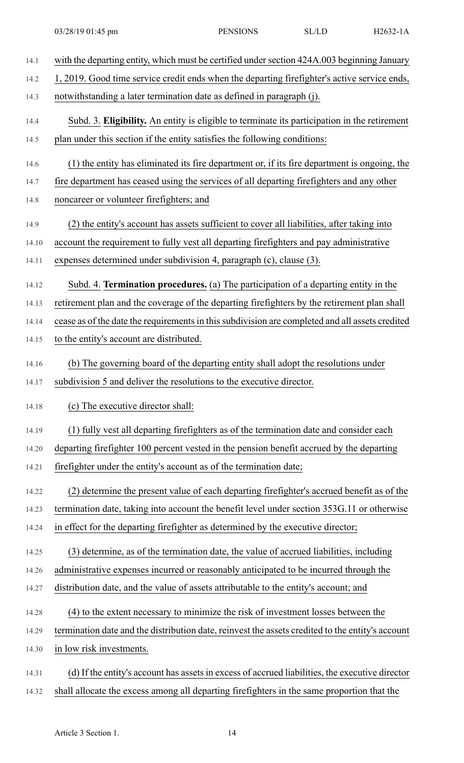| 14.1  | with the departing entity, which must be certified under section 424A.003 beginning January      |
|-------|--------------------------------------------------------------------------------------------------|
| 14.2  | 1, 2019. Good time service credit ends when the departing firefighter's active service ends,     |
| 14.3  | notwithstanding a later termination date as defined in paragraph (j).                            |
| 14.4  | Subd. 3. Eligibility. An entity is eligible to terminate its participation in the retirement     |
| 14.5  | plan under this section if the entity satisfies the following conditions:                        |
| 14.6  | (1) the entity has eliminated its fire department or, if its fire department is ongoing, the     |
| 14.7  | fire department has ceased using the services of all departing firefighters and any other        |
| 14.8  | noncareer or volunteer firefighters; and                                                         |
| 14.9  | (2) the entity's account has assets sufficient to cover all liabilities, after taking into       |
| 14.10 | account the requirement to fully vest all departing firefighters and pay administrative          |
| 14.11 | expenses determined under subdivision 4, paragraph (c), clause (3).                              |
| 14.12 | Subd. 4. Termination procedures. (a) The participation of a departing entity in the              |
| 14.13 | retirement plan and the coverage of the departing firefighters by the retirement plan shall      |
| 14.14 | cease as of the date the requirements in this subdivision are completed and all assets credited  |
| 14.15 | to the entity's account are distributed.                                                         |
| 14.16 | (b) The governing board of the departing entity shall adopt the resolutions under                |
| 14.17 | subdivision 5 and deliver the resolutions to the executive director.                             |
| 14.18 | (c) The executive director shall:                                                                |
| 14.19 | (1) fully vest all departing firefighters as of the termination date and consider each           |
| 14.20 | departing firefighter 100 percent vested in the pension benefit accrued by the departing         |
| 14.21 | firefighter under the entity's account as of the termination date;                               |
| 14.22 | (2) determine the present value of each departing firefighter's accrued benefit as of the        |
| 14.23 | termination date, taking into account the benefit level under section 353G.11 or otherwise       |
| 14.24 | in effect for the departing firefighter as determined by the executive director;                 |
| 14.25 | (3) determine, as of the termination date, the value of accrued liabilities, including           |
| 14.26 | administrative expenses incurred or reasonably anticipated to be incurred through the            |
| 14.27 | distribution date, and the value of assets attributable to the entity's account; and             |
| 14.28 | (4) to the extent necessary to minimize the risk of investment losses between the                |
| 14.29 | termination date and the distribution date, reinvest the assets credited to the entity's account |
| 14.30 | in low risk investments.                                                                         |
| 14.31 | (d) If the entity's account has assets in excess of accrued liabilities, the executive director  |
| 14.32 | shall allocate the excess among all departing firefighters in the same proportion that the       |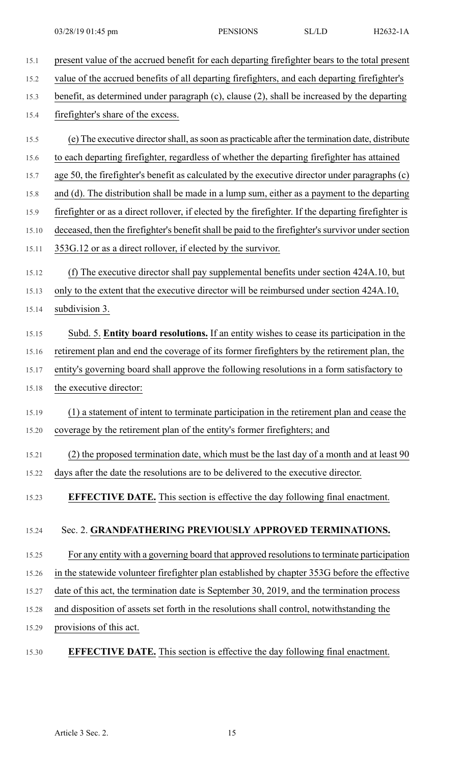15.1 present value of the accrued benefit for each departing firefighter bears to the total present 15.2 value of the accrued benefits of all departing firefighters, and each departing firefighter's 15.3 benefit, as determined under paragraph (c), clause (2), shall be increased by the departing 15.4 firefighter's share of the excess. 15.5 (e) The executive directorshall, assoon as practicable after the termination date, distribute 15.6 to each departing firefighter, regardless of whether the departing firefighter has attained 15.7 age 50, the firefighter's benefit as calculated by the executive director under paragraphs (c) 15.8 and (d). The distribution shall be made in a lump sum, either as a payment to the departing 15.9 firefighter or as a direct rollover, if elected by the firefighter. If the departing firefighter is 15.10 deceased, then the firefighter's benefit shall be paid to the firefighter's survivor under section 15.11 353G.12 or as a direct rollover, if elected by the survivor. 15.12 (f) The executive director shall pay supplemental benefits under section 424A.10, but 15.13 only to the extent that the executive director will be reimbursed under section 424A.10, 15.14 subdivision 3. 15.15 Subd. 5. **Entity board resolutions.** If an entity wishes to cease its participation in the 15.16 retirement plan and end the coverage of its former firefighters by the retirement plan, the 15.17 entity's governing board shall approve the following resolutions in a form satisfactory to 15.18 the executive director: 15.19 (1) a statement of intent to terminate participation in the retirement plan and cease the 15.20 coverage by the retirement plan of the entity's former firefighters; and 15.21 (2) the proposed termination date, which must be the last day of a month and at least 90 15.22 days after the date the resolutions are to be delivered to the executive director. 15.23 **EFFECTIVE DATE.** This section is effective the day following final enactment. 15.24 Sec. 2. **GRANDFATHERING PREVIOUSLY APPROVED TERMINATIONS.** 15.25 For any entity with a governing board that approved resolutionsto terminate participation 15.26 in the statewide volunteer firefighter plan established by chapter 353G before the effective 15.27 date of this act, the termination date is September 30, 2019, and the termination process 15.28 and disposition of assets set forth in the resolutions shall control, notwithstanding the 15.29 provisions of this act. 15.30 **EFFECTIVE DATE.** This section is effective the day following final enactment.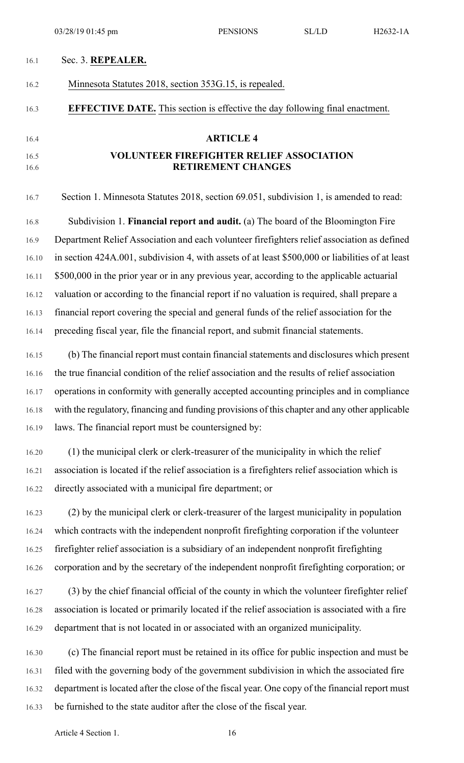## 16.1 Sec. 3. **REPEALER.**

## 16.2 Minnesota Statutes 2018, section 353G.15, is repealed.

## 16.3 **EFFECTIVE DATE.** This section is effective the day following final enactment.

# 16.4 **ARTICLE 4**

# 16.5 **VOLUNTEER FIREFIGHTER RELIEF ASSOCIATION** 16.6 **RETIREMENT CHANGES**

16.7 Section 1. Minnesota Statutes 2018, section 69.051, subdivision 1, is amended to read: 16.8 Subdivision 1. **Financial report and audit.** (a) The board of the Bloomington Fire 16.9 Department Relief Association and each volunteer firefighters relief association as defined 16.10 in section 424A.001, subdivision 4, with assets of at least \$500,000 or liabilities of at least 16.11 \$500,000 in the prior year or in any previous year, according to the applicable actuarial 16.12 valuation or according to the financial report if no valuation is required, shall prepare a 16.13 financial report covering the special and general funds of the relief association for the 16.14 preceding fiscal year, file the financial report, and submit financial statements.

16.15 (b) The financial report must contain financial statements and disclosures which present 16.16 the true financial condition of the relief association and the results of relief association 16.17 operations in conformity with generally accepted accounting principles and in compliance 16.18 with the regulatory, financing and funding provisions of this chapter and any other applicable 16.19 laws. The financial report must be countersigned by:

16.20 (1) the municipal clerk or clerk-treasurer of the municipality in which the relief 16.21 association is located if the relief association is a firefighters relief association which is 16.22 directly associated with a municipal fire department; or

16.23 (2) by the municipal clerk or clerk-treasurer of the largest municipality in population 16.24 which contracts with the independent nonprofit firefighting corporation if the volunteer 16.25 firefighter relief association is a subsidiary of an independent nonprofit firefighting 16.26 corporation and by the secretary of the independent nonprofit firefighting corporation; or

16.27 (3) by the chief financial official of the county in which the volunteer firefighter relief 16.28 association is located or primarily located if the relief association is associated with a fire 16.29 department that is not located in or associated with an organized municipality.

16.30 (c) The financial report must be retained in its office for public inspection and must be 16.31 filed with the governing body of the government subdivision in which the associated fire 16.32 department is located after the close of the fiscal year. One copy of the financial report must 16.33 be furnished to the state auditor after the close of the fiscal year.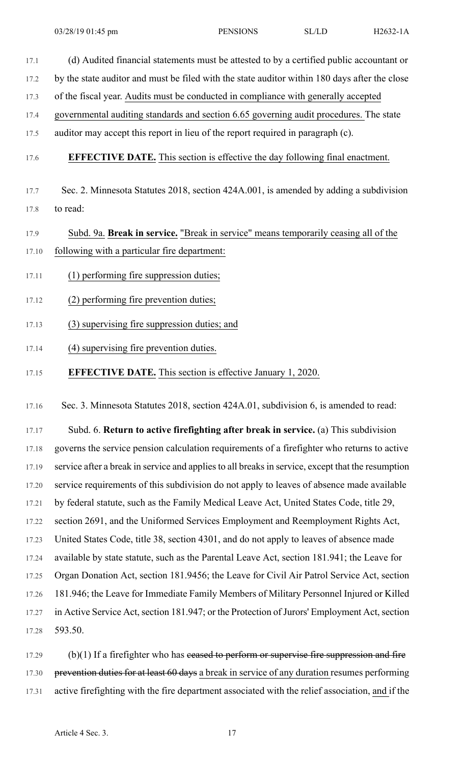- 17.1 (d) Audited financial statements must be attested to by a certified public accountant or 17.2 by the state auditor and must be filed with the state auditor within 180 days after the close
- 17.3 of the fiscal year. Audits must be conducted in compliance with generally accepted
- 17.4 governmental auditing standards and section 6.65 governing audit procedures. The state
- 17.5 auditor may accept this report in lieu of the report required in paragraph (c).

# 17.6 **EFFECTIVE DATE.** This section is effective the day following final enactment.

17.7 Sec. 2. Minnesota Statutes 2018, section 424A.001, is amended by adding a subdivision 17.8 to read:

# 17.9 Subd. 9a. **Break in service.** "Break in service" means temporarily ceasing all of the 17.10 following with a particular fire department:

- 17.11 (1) performing fire suppression duties;
- 17.12 (2) performing fire prevention duties;
- 17.13 (3) supervising fire suppression duties; and
- 17.14 (4) supervising fire prevention duties.
- 17.15 **EFFECTIVE DATE.** This section is effective January 1, 2020.

17.16 Sec. 3. Minnesota Statutes 2018, section 424A.01, subdivision 6, is amended to read:

17.17 Subd. 6. **Return to active firefighting after break in service.** (a) This subdivision 17.18 governs the service pension calculation requirements of a firefighter who returns to active 17.19 service after a break in service and appliesto all breaksin service, except that the resumption 17.20 service requirements of this subdivision do not apply to leaves of absence made available 17.21 by federal statute, such as the Family Medical Leave Act, United States Code, title 29, 17.22 section 2691, and the Uniformed Services Employment and Reemployment Rights Act, 17.23 United States Code, title 38, section 4301, and do not apply to leaves of absence made 17.24 available by state statute, such as the Parental Leave Act, section 181.941; the Leave for 17.25 Organ Donation Act, section 181.9456; the Leave for Civil Air Patrol Service Act, section 17.26 181.946; the Leave for Immediate Family Members of Military Personnel Injured or Killed 17.27 in Active Service Act, section 181.947; or the Protection of Jurors' Employment Act, section 17.28 593.50.

 $17.29$  (b)(1) If a firefighter who has ceased to perform or supervise fire suppression and fire 17.30 prevention duties for at least 60 days a break in service of any duration resumes performing 17.31 active firefighting with the fire department associated with the relief association, and if the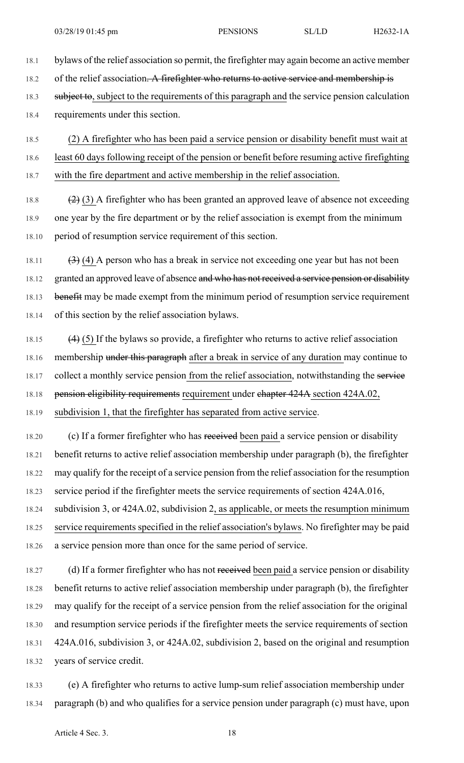- 18.1 bylaws of the relief association so permit, the firefighter may again become an active member 18.2 of the relief association. A firefighter who returns to active service and membership is 18.3 subject to, subject to the requirements of this paragraph and the service pension calculation 18.4 requirements under this section.
- 18.5 (2) A firefighter who has been paid a service pension or disability benefit must wait at 18.6 least 60 days following receipt of the pension or benefit before resuming active firefighting 18.7 with the fire department and active membership in the relief association.
- 18.8  $(2)(3)$  A firefighter who has been granted an approved leave of absence not exceeding 18.9 one year by the fire department or by the relief association is exempt from the minimum 18.10 period of resumption service requirement of this section.
- 18.11  $(3)$  (4) A person who has a break in service not exceeding one year but has not been 18.12 granted an approved leave of absence and who has not received a service pension or disability 18.13 benefit may be made exempt from the minimum period of resumption service requirement 18.14 of this section by the relief association bylaws.
- 18.15  $(4)$  (5) If the bylaws so provide, a firefighter who returns to active relief association 18.16 membership under this paragraph after a break in service of any duration may continue to 18.17 collect a monthly service pension from the relief association, notwithstanding the service 18.18 pension eligibility requirements requirement under chapter 424A section 424A.02, 18.19 subdivision 1, that the firefighter has separated from active service.
- 18.20 (c) If a former firefighter who has received been paid a service pension or disability 18.21 benefit returns to active relief association membership under paragraph (b), the firefighter 18.22 may qualify for the receipt of a service pension from the relief association for the resumption 18.23 service period if the firefighter meets the service requirements of section 424A.016, 18.24 subdivision 3, or 424A.02, subdivision 2, as applicable, or meets the resumption minimum
- 18.25 service requirements specified in the relief association's bylaws. No firefighter may be paid 18.26 a service pension more than once for the same period of service.
- 18.27 (d) If a former firefighter who has not received been paid a service pension or disability 18.28 benefit returns to active relief association membership under paragraph (b), the firefighter 18.29 may qualify for the receipt of a service pension from the relief association for the original 18.30 and resumption service periods if the firefighter meets the service requirements of section 18.31 424A.016, subdivision 3, or 424A.02, subdivision 2, based on the original and resumption 18.32 years of service credit.
- 18.33 (e) A firefighter who returns to active lump-sum relief association membership under 18.34 paragraph (b) and who qualifies for a service pension under paragraph (c) must have, upon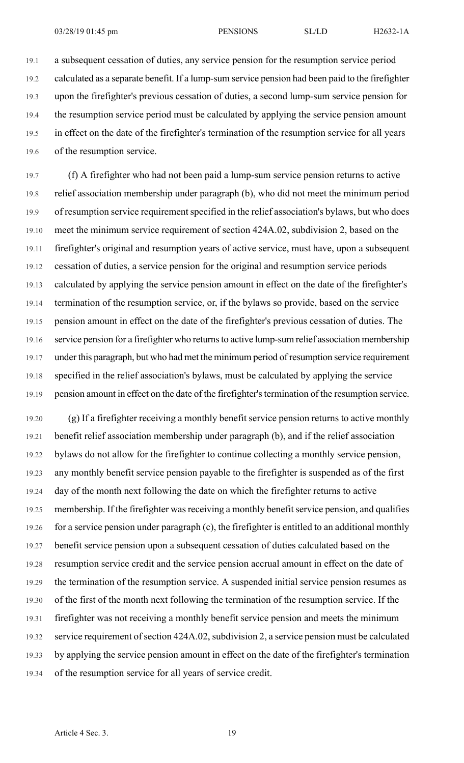19.1 a subsequent cessation of duties, any service pension for the resumption service period 19.2 calculated as a separate benefit. If a lump-sum service pension had been paid to the firefighter 19.3 upon the firefighter's previous cessation of duties, a second lump-sum service pension for 19.4 the resumption service period must be calculated by applying the service pension amount 19.5 in effect on the date of the firefighter's termination of the resumption service for all years 19.6 of the resumption service.

19.7 (f) A firefighter who had not been paid a lump-sum service pension returns to active 19.8 relief association membership under paragraph (b), who did not meet the minimum period 19.9 of resumption service requirement specified in the relief association's bylaws, but who does 19.10 meet the minimum service requirement of section 424A.02, subdivision 2, based on the 19.11 firefighter's original and resumption years of active service, must have, upon a subsequent 19.12 cessation of duties, a service pension for the original and resumption service periods 19.13 calculated by applying the service pension amount in effect on the date of the firefighter's 19.14 termination of the resumption service, or, if the bylaws so provide, based on the service 19.15 pension amount in effect on the date of the firefighter's previous cessation of duties. The 19.16 service pension for a firefighter who returnsto active lump-sum relief association membership 19.17 under this paragraph, but who had met the minimum period of resumption service requirement 19.18 specified in the relief association's bylaws, must be calculated by applying the service 19.19 pension amount in effect on the date of the firefighter'stermination of the resumption service.

19.20 (g) If a firefighter receiving a monthly benefit service pension returns to active monthly 19.21 benefit relief association membership under paragraph (b), and if the relief association 19.22 bylaws do not allow for the firefighter to continue collecting a monthly service pension, 19.23 any monthly benefit service pension payable to the firefighter is suspended as of the first 19.24 day of the month next following the date on which the firefighter returns to active 19.25 membership. If the firefighter was receiving a monthly benefit service pension, and qualifies 19.26 for a service pension under paragraph (c), the firefighter is entitled to an additional monthly 19.27 benefit service pension upon a subsequent cessation of duties calculated based on the 19.28 resumption service credit and the service pension accrual amount in effect on the date of 19.29 the termination of the resumption service. A suspended initial service pension resumes as 19.30 of the first of the month next following the termination of the resumption service. If the 19.31 firefighter was not receiving a monthly benefit service pension and meets the minimum 19.32 service requirement of section 424A.02, subdivision 2, a service pension must be calculated 19.33 by applying the service pension amount in effect on the date of the firefighter's termination 19.34 of the resumption service for all years of service credit.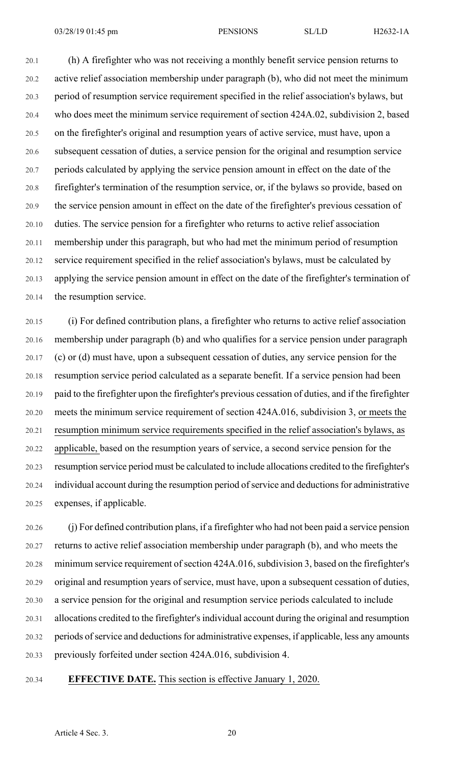20.1 (h) A firefighter who was not receiving a monthly benefit service pension returns to 20.2 active relief association membership under paragraph (b), who did not meet the minimum 20.3 period of resumption service requirement specified in the relief association's bylaws, but 20.4 who does meet the minimum service requirement of section 424A.02, subdivision 2, based 20.5 on the firefighter's original and resumption years of active service, must have, upon a 20.6 subsequent cessation of duties, a service pension for the original and resumption service 20.7 periods calculated by applying the service pension amount in effect on the date of the 20.8 firefighter's termination of the resumption service, or, if the bylaws so provide, based on 20.9 the service pension amount in effect on the date of the firefighter's previous cessation of 20.10 duties. The service pension for a firefighter who returns to active relief association 20.11 membership under this paragraph, but who had met the minimum period of resumption 20.12 service requirement specified in the relief association's bylaws, must be calculated by 20.13 applying the service pension amount in effect on the date of the firefighter's termination of 20.14 the resumption service.

20.15 (i) For defined contribution plans, a firefighter who returns to active relief association 20.16 membership under paragraph (b) and who qualifies for a service pension under paragraph 20.17 (c) or (d) must have, upon a subsequent cessation of duties, any service pension for the 20.18 resumption service period calculated as a separate benefit. If a service pension had been 20.19 paid to the firefighter upon the firefighter's previous cessation of duties, and if the firefighter 20.20 meets the minimum service requirement of section 424A.016, subdivision 3, or meets the 20.21 resumption minimum service requirements specified in the relief association's bylaws, as 20.22 applicable, based on the resumption years of service, a second service pension for the 20.23 resumption service period must be calculated to include allocations credited to the firefighter's 20.24 individual account during the resumption period of service and deductions for administrative 20.25 expenses, if applicable.

20.26 (j) For defined contribution plans, if a firefighter who had not been paid a service pension 20.27 returns to active relief association membership under paragraph (b), and who meets the 20.28 minimum service requirement of section 424A.016, subdivision 3, based on the firefighter's 20.29 original and resumption years of service, must have, upon a subsequent cessation of duties, 20.30 a service pension for the original and resumption service periods calculated to include 20.31 allocations credited to the firefighter'sindividual account during the original and resumption 20.32 periods of service and deductions for administrative expenses, if applicable, less any amounts 20.33 previously forfeited under section 424A.016, subdivision 4.

## 20.34 **EFFECTIVE DATE.** This section is effective January 1, 2020.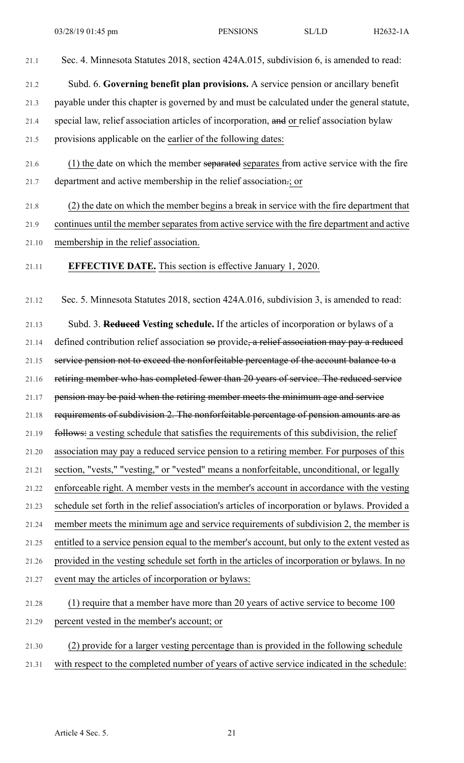21.1 Sec. 4. Minnesota Statutes 2018, section 424A.015, subdivision 6, is amended to read: 21.2 Subd. 6. **Governing benefit plan provisions.** A service pension or ancillary benefit 21.3 payable under this chapter is governed by and must be calculated under the general statute, 21.4 special law, relief association articles of incorporation, and or relief association bylaw 21.5 provisions applicable on the earlier of the following dates: 21.6 (1) the date on which the member separated separates from active service with the fire 21.7 department and active membership in the relief association.; or 21.8 (2) the date on which the member begins a break in service with the fire department that 21.9 continues until the member separates from active service with the fire department and active 21.10 membership in the relief association. 21.11 **EFFECTIVE DATE.** This section is effective January 1, 2020.

21.12 Sec. 5. Minnesota Statutes 2018, section 424A.016, subdivision 3, is amended to read:

21.13 Subd. 3. **Reduced Vesting schedule.** If the articles of incorporation or bylaws of a 21.14 defined contribution relief association so provide, a relief association may pay a reduced 21.15 service pension not to exceed the nonforfeitable percentage of the account balance to a 21.16 retiring member who has completed fewer than 20 years of service. The reduced service 21.17 pension may be paid when the retiring member meets the minimum age and service 21.18 requirements of subdivision 2. The nonforfeitable percentage of pension amounts are as 21.19 follows: a vesting schedule that satisfies the requirements of this subdivision, the relief 21.20 association may pay a reduced service pension to a retiring member. For purposes of this 21.21 section, "vests," "vesting," or "vested" means a nonforfeitable, unconditional, or legally 21.22 enforceable right. A member vests in the member's account in accordance with the vesting 21.23 schedule set forth in the relief association's articles of incorporation or bylaws. Provided a 21.24 member meets the minimum age and service requirements of subdivision 2, the member is 21.25 entitled to a service pension equal to the member's account, but only to the extent vested as 21.26 provided in the vesting schedule set forth in the articles of incorporation or bylaws. In no 21.27 event may the articles of incorporation or bylaws: 21.28 (1) require that a member have more than 20 years of active service to become 100 21.29 percent vested in the member's account; or 21.30 (2) provide for a larger vesting percentage than is provided in the following schedule

21.31 with respect to the completed number of years of active service indicated in the schedule: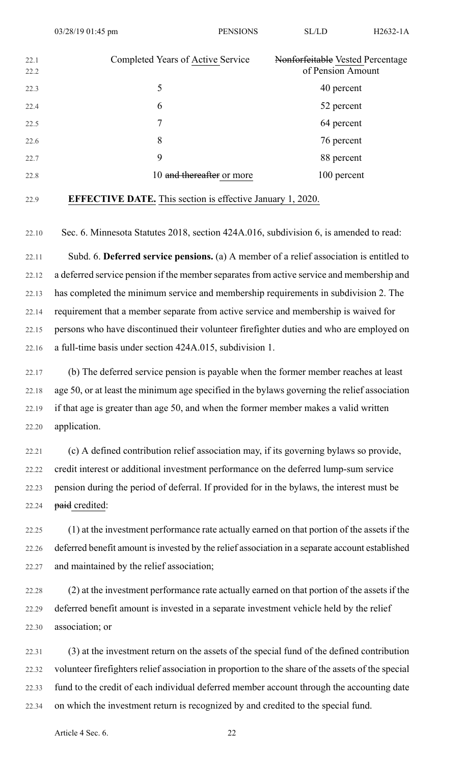| 22.1<br>22.2 | Completed Years of Active Service | Nonforfeitable Vested Percentage<br>of Pension Amount |
|--------------|-----------------------------------|-------------------------------------------------------|
| 22.3         | 5                                 | 40 percent                                            |
| 22.4         | 6                                 | 52 percent                                            |
| 22.5         | 7                                 | 64 percent                                            |
| 22.6         | 8                                 | 76 percent                                            |
| 22.7         | 9                                 | 88 percent                                            |
| 22.8         | 10 and thereafter or more         | 100 percent                                           |

22.9 **EFFECTIVE DATE.** This section is effective January 1, 2020.

22.10 Sec. 6. Minnesota Statutes 2018, section 424A.016, subdivision 6, is amended to read:

22.11 Subd. 6. **Deferred service pensions.** (a) A member of a relief association is entitled to 22.12 a deferred service pension if the member separates from active service and membership and 22.13 has completed the minimum service and membership requirements in subdivision 2. The 22.14 requirement that a member separate from active service and membership is waived for 22.15 persons who have discontinued their volunteer firefighter duties and who are employed on 22.16 a full-time basis under section 424A.015, subdivision 1.

22.17 (b) The deferred service pension is payable when the former member reaches at least 22.18 age 50, or at least the minimum age specified in the bylaws governing the relief association 22.19 if that age is greater than age 50, and when the former member makes a valid written 22.20 application.

22.21 (c) A defined contribution relief association may, if its governing bylaws so provide, 22.22 credit interest or additional investment performance on the deferred lump-sum service 22.23 pension during the period of deferral. If provided for in the bylaws, the interest must be 22.24 paid credited:

22.25 (1) at the investment performance rate actually earned on that portion of the assets if the 22.26 deferred benefit amount isinvested by the relief association in a separate account established 22.27 and maintained by the relief association;

22.28 (2) at the investment performance rate actually earned on that portion of the assets if the 22.29 deferred benefit amount is invested in a separate investment vehicle held by the relief 22.30 association; or

22.31 (3) at the investment return on the assets of the special fund of the defined contribution 22.32 volunteer firefighters relief association in proportion to the share of the assets of the special 22.33 fund to the credit of each individual deferred member account through the accounting date 22.34 on which the investment return is recognized by and credited to the special fund.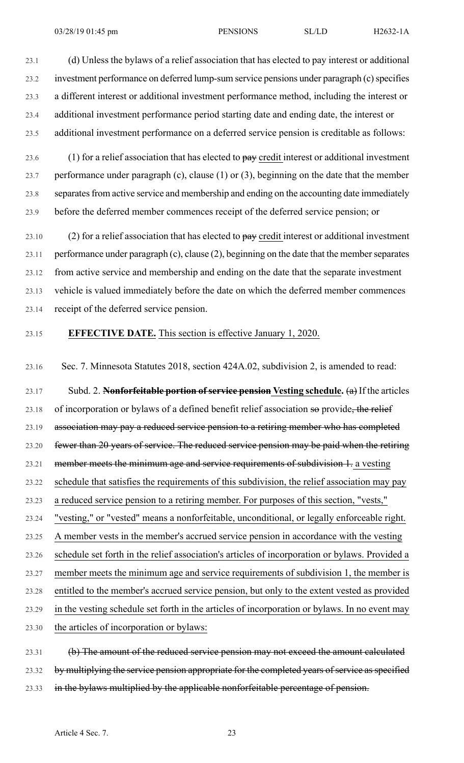23.1 (d) Unless the bylaws of a relief association that has elected to pay interest or additional 23.2 investment performance on deferred lump-sum service pensions under paragraph (c) specifies 23.3 a different interest or additional investment performance method, including the interest or 23.4 additional investment performance period starting date and ending date, the interest or 23.5 additional investment performance on a deferred service pension is creditable as follows:

23.6 (1) for a relief association that has elected to  $\frac{\partial^2 u}{\partial x^2}$  credit interest or additional investment 23.7 performance under paragraph (c), clause (1) or (3), beginning on the date that the member 23.8 separates from active service and membership and ending on the accounting date immediately 23.9 before the deferred member commences receipt of the deferred service pension; or

23.10 (2) for a relief association that has elected to  $\frac{\partial^2 u}{\partial x^2}$  credit interest or additional investment 23.11 performance under paragraph (c), clause (2), beginning on the date that the memberseparates 23.12 from active service and membership and ending on the date that the separate investment 23.13 vehicle is valued immediately before the date on which the deferred member commences 23.14 receipt of the deferred service pension.

## 23.15 **EFFECTIVE DATE.** This section is effective January 1, 2020.

23.16 Sec. 7. Minnesota Statutes 2018, section 424A.02, subdivision 2, is amended to read:

23.17 Subd. 2. **Nonforfeitable portion ofservice pension Vesting schedule.** (a) If the articles  $23.18$  of incorporation or bylaws of a defined benefit relief association so provide, the relief 23.19 association may pay a reduced service pension to a retiring member who has completed 23.20 fewer than 20 years of service. The reduced service pension may be paid when the retiring 23.21 member meets the minimum age and service requirements of subdivision 1. a vesting 23.22 schedule that satisfies the requirements of this subdivision, the relief association may pay 23.23 a reduced service pension to a retiring member. For purposes of this section, "vests," 23.24 "vesting," or "vested" means a nonforfeitable, unconditional, or legally enforceable right. 23.25 A member vests in the member's accrued service pension in accordance with the vesting 23.26 schedule set forth in the relief association's articles of incorporation or bylaws. Provided a 23.27 member meets the minimum age and service requirements of subdivision 1, the member is 23.28 entitled to the member's accrued service pension, but only to the extent vested as provided 23.29 in the vesting schedule set forth in the articles of incorporation or bylaws. In no event may 23.30 the articles of incorporation or bylaws:

23.31 (b) The amount of the reduced service pension may not exceed the amount calculated 23.32 by multiplying the service pension appropriate for the completed years of service as specified 23.33 in the bylaws multiplied by the applicable nonforfeitable percentage of pension.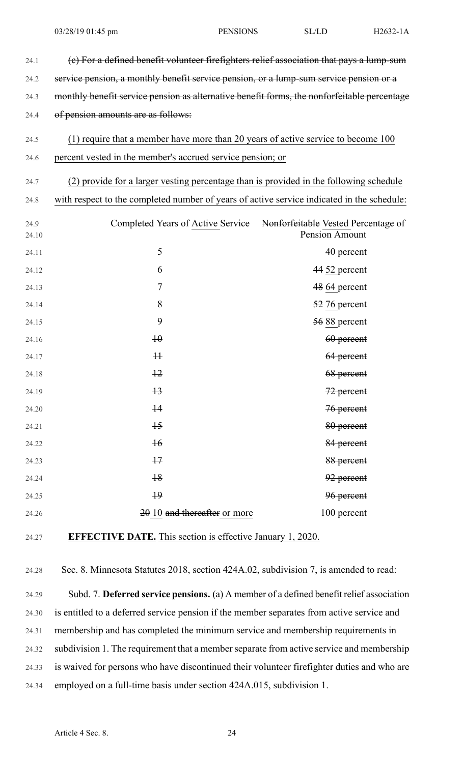| 24.1          | (e) For a defined benefit volunteer firefighters relief association that pays a lump-sum    |                                                       |
|---------------|---------------------------------------------------------------------------------------------|-------------------------------------------------------|
| 24.2          | service pension, a monthly benefit service pension, or a lump-sum service pension or a      |                                                       |
| 24.3          | monthly benefit service pension as alternative benefit forms, the nonforfeitable percentage |                                                       |
| 24.4          | of pension amounts are as follows:                                                          |                                                       |
| 24.5          | (1) require that a member have more than 20 years of active service to become 100           |                                                       |
| 24.6          | percent vested in the member's accrued service pension; or                                  |                                                       |
| 24.7          | (2) provide for a larger vesting percentage than is provided in the following schedule      |                                                       |
| 24.8          | with respect to the completed number of years of active service indicated in the schedule:  |                                                       |
| 24.9<br>24.10 | Completed Years of Active Service                                                           | Nonforfeitable Vested Percentage of<br>Pension Amount |
| 24.11         | 5                                                                                           | 40 percent                                            |
| 24.12         | 6                                                                                           | 44 52 percent                                         |
| 24.13         | $\overline{7}$                                                                              | 48 64 percent                                         |
| 24.14         | 8                                                                                           | 52 76 percent                                         |
| 24.15         | 9                                                                                           | 56 88 percent                                         |
| 24.16         | $\overline{10}$                                                                             | 60 percent                                            |
| 24.17         | H                                                                                           | 64 percent                                            |
| 24.18         | $+2$                                                                                        | 68 percent                                            |
| 24.19         | $+3$                                                                                        | 72 percent                                            |
| 24.20         | $\overline{14}$                                                                             | 76 percent                                            |
| 24.21         | $+5$                                                                                        | 80 percent                                            |
| 24.22         | $\overline{16}$                                                                             | 84 percent                                            |
| 24.23         | $+7$                                                                                        | 88 percent                                            |
| 24.24         | $+8$                                                                                        | 92 percent                                            |
| 24.25         | $\overline{19}$                                                                             | 96 percent                                            |
| 24.26         | $2010$ and thereafter or more                                                               | 100 percent                                           |
| 24.27         | <b>EFFECTIVE DATE.</b> This section is effective January 1, 2020.                           |                                                       |

24.28 Sec. 8. Minnesota Statutes 2018, section 424A.02, subdivision 7, is amended to read:

24.29 Subd. 7. **Deferred service pensions.** (a) A member of a defined benefit relief association 24.30 is entitled to a deferred service pension if the member separates from active service and 24.31 membership and has completed the minimum service and membership requirements in 24.32 subdivision 1. The requirement that a memberseparate from active service and membership 24.33 is waived for persons who have discontinued their volunteer firefighter duties and who are 24.34 employed on a full-time basis under section 424A.015, subdivision 1.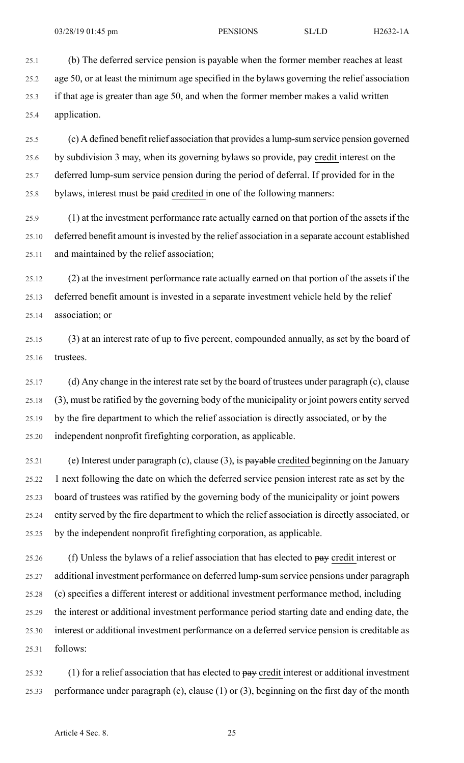25.1 (b) The deferred service pension is payable when the former member reaches at least 25.2 age 50, or at least the minimum age specified in the bylaws governing the relief association 25.3 if that age is greater than age 50, and when the former member makes a valid written 25.4 application.

25.5 (c) A defined benefit relief association that provides a lump-sum service pension governed 25.6 by subdivision 3 may, when its governing bylaws so provide,  $\theta$ ay credit interest on the 25.7 deferred lump-sum service pension during the period of deferral. If provided for in the 25.8 bylaws, interest must be paid credited in one of the following manners:

25.9 (1) at the investment performance rate actually earned on that portion of the assets if the 25.10 deferred benefit amount isinvested by the relief association in a separate account established 25.11 and maintained by the relief association;

25.12 (2) at the investment performance rate actually earned on that portion of the assets if the 25.13 deferred benefit amount is invested in a separate investment vehicle held by the relief 25.14 association; or

25.15 (3) at an interest rate of up to five percent, compounded annually, as set by the board of 25.16 trustees.

25.17 (d) Any change in the interest rate set by the board of trustees under paragraph (c), clause 25.18 (3), must be ratified by the governing body of the municipality or joint powers entity served 25.19 by the fire department to which the relief association is directly associated, or by the 25.20 independent nonprofit firefighting corporation, as applicable.

25.21 (e) Interest under paragraph (c), clause (3), is payable credited beginning on the January 25.22 1 next following the date on which the deferred service pension interest rate as set by the 25.23 board of trustees was ratified by the governing body of the municipality or joint powers 25.24 entity served by the fire department to which the relief association is directly associated, or 25.25 by the independent nonprofit firefighting corporation, as applicable.

25.26 (f) Unless the bylaws of a relief association that has elected to pay credit interest or 25.27 additional investment performance on deferred lump-sum service pensions under paragraph 25.28 (c) specifies a different interest or additional investment performance method, including 25.29 the interest or additional investment performance period starting date and ending date, the 25.30 interest or additional investment performance on a deferred service pension is creditable as 25.31 follows:

25.32 (1) for a relief association that has elected to  $\frac{\partial^2 u}{\partial x^2}$  credit interest or additional investment 25.33 performance under paragraph (c), clause (1) or (3), beginning on the first day of the month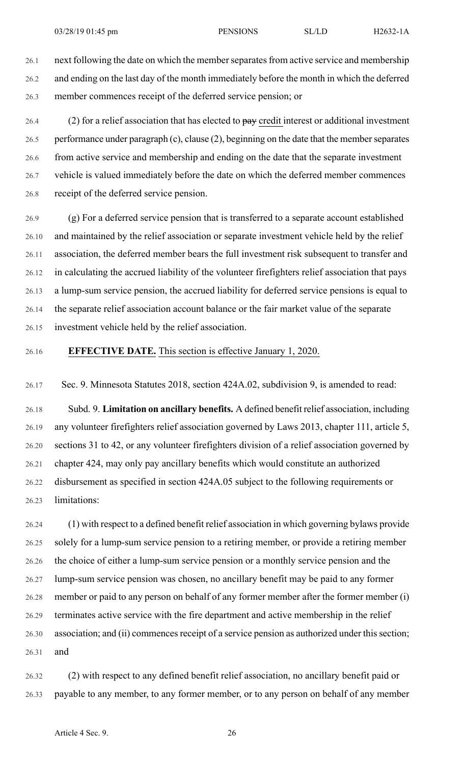26.1 next following the date on which the member separates from active service and membership 26.2 and ending on the last day of the month immediately before the month in which the deferred 26.3 member commences receipt of the deferred service pension; or

26.4 (2) for a relief association that has elected to  $\frac{\partial^2 u}{\partial x^2}$  credit interest or additional investment 26.5 performance under paragraph (c), clause (2), beginning on the date that the memberseparates 26.6 from active service and membership and ending on the date that the separate investment 26.7 vehicle is valued immediately before the date on which the deferred member commences 26.8 receipt of the deferred service pension.

26.9 (g) For a deferred service pension that is transferred to a separate account established 26.10 and maintained by the relief association or separate investment vehicle held by the relief 26.11 association, the deferred member bears the full investment risk subsequent to transfer and 26.12 in calculating the accrued liability of the volunteer firefighters relief association that pays 26.13 a lump-sum service pension, the accrued liability for deferred service pensions is equal to 26.14 the separate relief association account balance or the fair market value of the separate 26.15 investment vehicle held by the relief association.

### 26.16 **EFFECTIVE DATE.** This section is effective January 1, 2020.

26.17 Sec. 9. Minnesota Statutes 2018, section 424A.02, subdivision 9, is amended to read:

26.18 Subd. 9. **Limitation on ancillary benefits.** A defined benefit relief association, including 26.19 any volunteer firefighters relief association governed by Laws 2013, chapter 111, article 5, 26.20 sections 31 to 42, or any volunteer firefighters division of a relief association governed by 26.21 chapter 424, may only pay ancillary benefits which would constitute an authorized 26.22 disbursement as specified in section 424A.05 subject to the following requirements or 26.23 limitations:

26.24 (1) with respect to a defined benefit relief association in which governing bylaws provide 26.25 solely for a lump-sum service pension to a retiring member, or provide a retiring member 26.26 the choice of either a lump-sum service pension or a monthly service pension and the 26.27 lump-sum service pension was chosen, no ancillary benefit may be paid to any former 26.28 member or paid to any person on behalf of any former member after the former member (i) 26.29 terminates active service with the fire department and active membership in the relief 26.30 association; and (ii) commences receipt of a service pension as authorized under this section; 26.31 and

26.32 (2) with respect to any defined benefit relief association, no ancillary benefit paid or 26.33 payable to any member, to any former member, or to any person on behalf of any member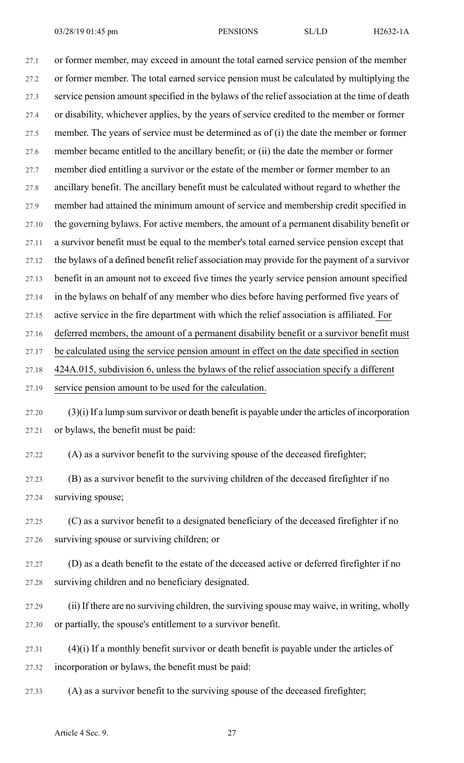27.1 or former member, may exceed in amount the total earned service pension of the member 27.2 or former member. The total earned service pension must be calculated by multiplying the 27.3 service pension amount specified in the bylaws of the relief association at the time of death 27.4 or disability, whichever applies, by the years of service credited to the member or former 27.5 member. The years of service must be determined as of (i) the date the member or former 27.6 member became entitled to the ancillary benefit; or (ii) the date the member or former 27.7 member died entitling a survivor or the estate of the member or former member to an 27.8 ancillary benefit. The ancillary benefit must be calculated without regard to whether the 27.9 member had attained the minimum amount of service and membership credit specified in 27.10 the governing bylaws. For active members, the amount of a permanent disability benefit or 27.11 a survivor benefit must be equal to the member's total earned service pension except that 27.12 the bylaws of a defined benefit relief association may provide for the payment of a survivor 27.13 benefit in an amount not to exceed five times the yearly service pension amount specified 27.14 in the bylaws on behalf of any member who dies before having performed five years of 27.15 active service in the fire department with which the relief association is affiliated. For 27.16 deferred members, the amount of a permanent disability benefit or a survivor benefit must 27.17 be calculated using the service pension amount in effect on the date specified in section 27.18 424A.015, subdivision 6, unless the bylaws of the relief association specify a different 27.19 service pension amount to be used for the calculation.

27.20 (3)(i) If a lump sum survivor or death benefit is payable under the articles of incorporation 27.21 or bylaws, the benefit must be paid:

27.22 (A) as a survivor benefit to the surviving spouse of the deceased firefighter;

27.23 (B) as a survivor benefit to the surviving children of the deceased firefighter if no 27.24 surviving spouse;

27.25 (C) as a survivor benefit to a designated beneficiary of the deceased firefighter if no 27.26 surviving spouse or surviving children; or

27.27 (D) as a death benefit to the estate of the deceased active or deferred firefighter if no 27.28 surviving children and no beneficiary designated.

- 27.29 (ii) If there are no surviving children, the surviving spouse may waive, in writing, wholly 27.30 or partially, the spouse's entitlement to a survivor benefit.
- 27.31 (4)(i) If a monthly benefit survivor or death benefit is payable under the articles of 27.32 incorporation or bylaws, the benefit must be paid:
- 27.33 (A) as a survivor benefit to the surviving spouse of the deceased firefighter;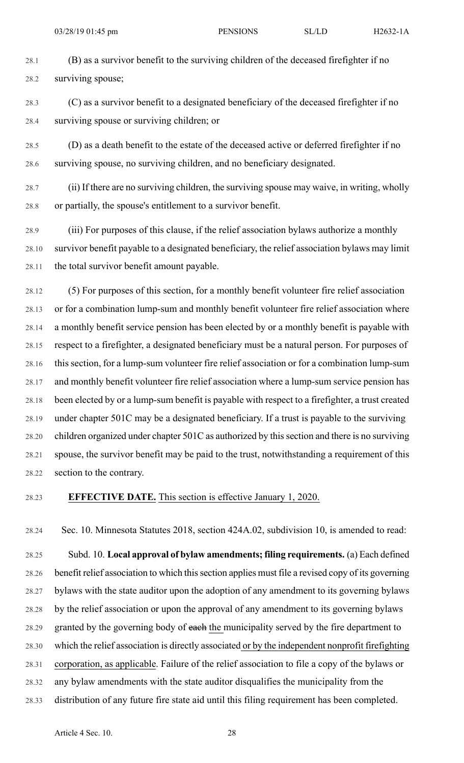28.1 (B) as a survivor benefit to the surviving children of the deceased firefighter if no 28.2 surviving spouse;

28.3 (C) as a survivor benefit to a designated beneficiary of the deceased firefighter if no 28.4 surviving spouse or surviving children; or

28.5 (D) as a death benefit to the estate of the deceased active or deferred firefighter if no 28.6 surviving spouse, no surviving children, and no beneficiary designated.

28.7 (ii) If there are no surviving children, the surviving spouse may waive, in writing, wholly 28.8 or partially, the spouse's entitlement to a survivor benefit.

28.9 (iii) For purposes of this clause, if the relief association bylaws authorize a monthly 28.10 survivor benefit payable to a designated beneficiary, the relief association bylaws may limit 28.11 the total survivor benefit amount payable.

28.12 (5) For purposes of this section, for a monthly benefit volunteer fire relief association 28.13 or for a combination lump-sum and monthly benefit volunteer fire relief association where 28.14 a monthly benefit service pension has been elected by or a monthly benefit is payable with 28.15 respect to a firefighter, a designated beneficiary must be a natural person. For purposes of 28.16 this section, for a lump-sum volunteer fire relief association or for a combination lump-sum 28.17 and monthly benefit volunteer fire relief association where a lump-sum service pension has 28.18 been elected by or a lump-sum benefit is payable with respect to a firefighter, a trust created 28.19 under chapter 501C may be a designated beneficiary. If a trust is payable to the surviving 28.20 children organized under chapter 501C as authorized by this section and there is no surviving 28.21 spouse, the survivor benefit may be paid to the trust, notwithstanding a requirement of this 28.22 section to the contrary.

## 28.23 **EFFECTIVE DATE.** This section is effective January 1, 2020.

28.24 Sec. 10. Minnesota Statutes 2018, section 424A.02, subdivision 10, is amended to read:

28.25 Subd. 10. **Local approval of bylaw amendments; filing requirements.** (a) Each defined 28.26 benefit relief association to which thissection applies must file a revised copy of its governing 28.27 bylaws with the state auditor upon the adoption of any amendment to its governing bylaws 28.28 by the relief association or upon the approval of any amendment to its governing bylaws 28.29 granted by the governing body of each the municipality served by the fire department to 28.30 which the relief association is directly associated or by the independent nonprofit firefighting 28.31 corporation, as applicable. Failure of the relief association to file a copy of the bylaws or 28.32 any bylaw amendments with the state auditor disqualifies the municipality from the 28.33 distribution of any future fire state aid until this filing requirement has been completed.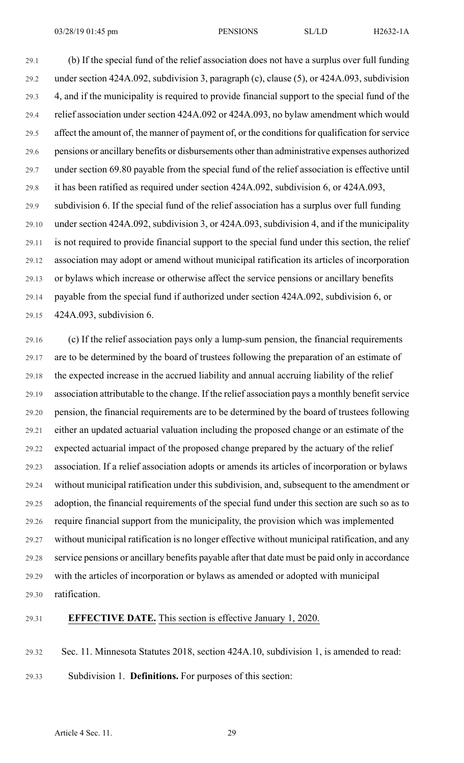29.1 (b) If the special fund of the relief association does not have a surplus over full funding 29.2 under section 424A.092, subdivision 3, paragraph (c), clause (5), or 424A.093, subdivision 29.3 4, and if the municipality is required to provide financial support to the special fund of the 29.4 relief association under section 424A.092 or 424A.093, no bylaw amendment which would 29.5 affect the amount of, the manner of payment of, or the conditions for qualification for service 29.6 pensions or ancillary benefits or disbursements other than administrative expenses authorized 29.7 under section 69.80 payable from the special fund of the relief association is effective until 29.8 it has been ratified as required under section 424A.092, subdivision 6, or 424A.093, 29.9 subdivision 6. If the special fund of the relief association has a surplus over full funding 29.10 under section 424A.092, subdivision 3, or 424A.093, subdivision 4, and if the municipality 29.11 is not required to provide financial support to the special fund under this section, the relief 29.12 association may adopt or amend without municipal ratification its articles of incorporation 29.13 or bylaws which increase or otherwise affect the service pensions or ancillary benefits 29.14 payable from the special fund if authorized under section 424A.092, subdivision 6, or 29.15 424A.093, subdivision 6.

29.16 (c) If the relief association pays only a lump-sum pension, the financial requirements 29.17 are to be determined by the board of trustees following the preparation of an estimate of 29.18 the expected increase in the accrued liability and annual accruing liability of the relief 29.19 association attributable to the change. If the relief association pays a monthly benefit service 29.20 pension, the financial requirements are to be determined by the board of trustees following 29.21 either an updated actuarial valuation including the proposed change or an estimate of the 29.22 expected actuarial impact of the proposed change prepared by the actuary of the relief 29.23 association. If a relief association adopts or amends its articles of incorporation or bylaws 29.24 without municipal ratification under this subdivision, and, subsequent to the amendment or 29.25 adoption, the financial requirements of the special fund under this section are such so as to 29.26 require financial support from the municipality, the provision which was implemented 29.27 without municipal ratification is no longer effective without municipal ratification, and any 29.28 service pensions or ancillary benefits payable after that date must be paid only in accordance 29.29 with the articles of incorporation or bylaws as amended or adopted with municipal 29.30 ratification.

## 29.31 **EFFECTIVE DATE.** This section is effective January 1, 2020.

29.32 Sec. 11. Minnesota Statutes 2018, section 424A.10, subdivision 1, is amended to read:

29.33 Subdivision 1. **Definitions.** For purposes of this section: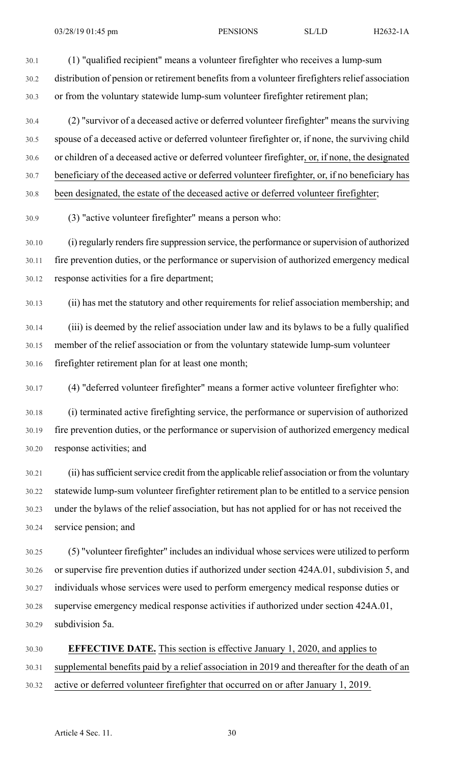30.1 (1) "qualified recipient" means a volunteer firefighter who receives a lump-sum

30.2 distribution of pension or retirement benefits from a volunteer firefighters relief association 30.3 or from the voluntary statewide lump-sum volunteer firefighter retirement plan;

30.4 (2) "survivor of a deceased active or deferred volunteer firefighter" means the surviving 30.5 spouse of a deceased active or deferred volunteer firefighter or, if none, the surviving child 30.6 or children of a deceased active or deferred volunteer firefighter, or, if none, the designated 30.7 beneficiary of the deceased active or deferred volunteer firefighter, or, if no beneficiary has 30.8 been designated, the estate of the deceased active or deferred volunteer firefighter;

30.9 (3) "active volunteer firefighter" means a person who:

30.10 (i) regularly rendersfire suppression service, the performance orsupervision of authorized 30.11 fire prevention duties, or the performance or supervision of authorized emergency medical 30.12 response activities for a fire department;

30.13 (ii) has met the statutory and other requirements for relief association membership; and

30.14 (iii) is deemed by the relief association under law and its bylaws to be a fully qualified 30.15 member of the relief association or from the voluntary statewide lump-sum volunteer 30.16 firefighter retirement plan for at least one month;

30.17 (4) "deferred volunteer firefighter" means a former active volunteer firefighter who:

30.18 (i) terminated active firefighting service, the performance or supervision of authorized 30.19 fire prevention duties, or the performance or supervision of authorized emergency medical 30.20 response activities; and

30.21 (ii) has sufficient service credit from the applicable relief association or from the voluntary 30.22 statewide lump-sum volunteer firefighter retirement plan to be entitled to a service pension 30.23 under the bylaws of the relief association, but has not applied for or has not received the 30.24 service pension; and

30.25 (5) "volunteer firefighter" includes an individual whose services were utilized to perform 30.26 or supervise fire prevention duties if authorized under section 424A.01, subdivision 5, and 30.27 individuals whose services were used to perform emergency medical response duties or 30.28 supervise emergency medical response activities if authorized under section 424A.01, 30.29 subdivision 5a.

30.30 **EFFECTIVE DATE.** This section is effective January 1, 2020, and applies to 30.31 supplemental benefits paid by a relief association in 2019 and thereafter for the death of an 30.32 active or deferred volunteer firefighter that occurred on or after January 1, 2019.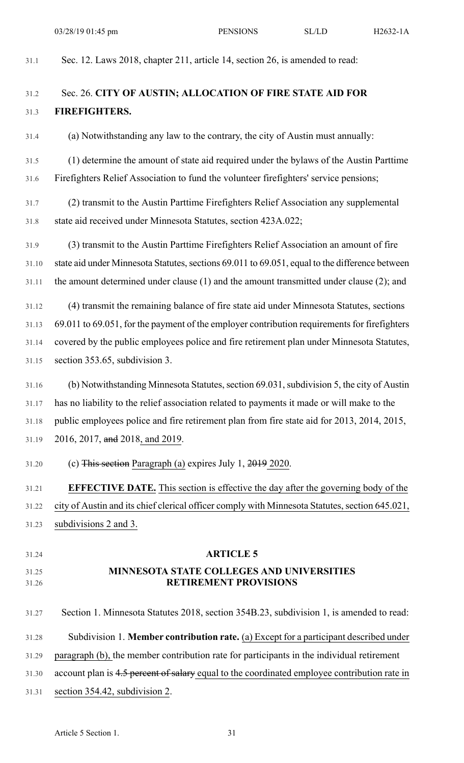31.1 Sec. 12. Laws 2018, chapter 211, article 14, section 26, is amended to read:

31.2 Sec. 26. **CITY OF AUSTIN; ALLOCATION OF FIRE STATE AID FOR** 31.3 **FIREFIGHTERS.** 31.4 (a) Notwithstanding any law to the contrary, the city of Austin must annually: 31.5 (1) determine the amount of state aid required under the bylaws of the Austin Parttime 31.6 Firefighters Relief Association to fund the volunteer firefighters' service pensions; 31.7 (2) transmit to the Austin Parttime Firefighters Relief Association any supplemental 31.8 state aid received under Minnesota Statutes, section 423A.022; 31.9 (3) transmit to the Austin Parttime Firefighters Relief Association an amount of fire 31.10 state aid under Minnesota Statutes, sections 69.011 to 69.051, equal to the difference between 31.11 the amount determined under clause (1) and the amount transmitted under clause (2); and 31.12 (4) transmit the remaining balance of fire state aid under Minnesota Statutes, sections 31.13 69.011 to 69.051, for the payment of the employer contribution requirements for firefighters 31.14 covered by the public employees police and fire retirement plan under Minnesota Statutes, 31.15 section 353.65, subdivision 3. 31.16 (b) Notwithstanding Minnesota Statutes, section 69.031, subdivision 5, the city of Austin 31.17 has no liability to the relief association related to payments it made or will make to the 31.18 public employees police and fire retirement plan from fire state aid for 2013, 2014, 2015, 31.19 2016, 2017, and 2018, and 2019. 31.20 (c) This section Paragraph (a) expires July 1, 2019 2020. 31.21 **EFFECTIVE DATE.** This section is effective the day after the governing body of the 31.22 city of Austin and its chief clerical officer comply with Minnesota Statutes, section 645.021, 31.23 subdivisions 2 and 3. 31.24 **ARTICLE 5** 31.25 **MINNESOTA STATE COLLEGES AND UNIVERSITIES** 31.26 **RETIREMENT PROVISIONS** 31.27 Section 1. Minnesota Statutes 2018, section 354B.23, subdivision 1, is amended to read: 31.28 Subdivision 1. **Member contribution rate.** (a) Except for a participant described under 31.29 paragraph (b), the member contribution rate for participants in the individual retirement 31.30 account plan is 4.5 percent of salary equal to the coordinated employee contribution rate in 31.31 section 354.42, subdivision 2.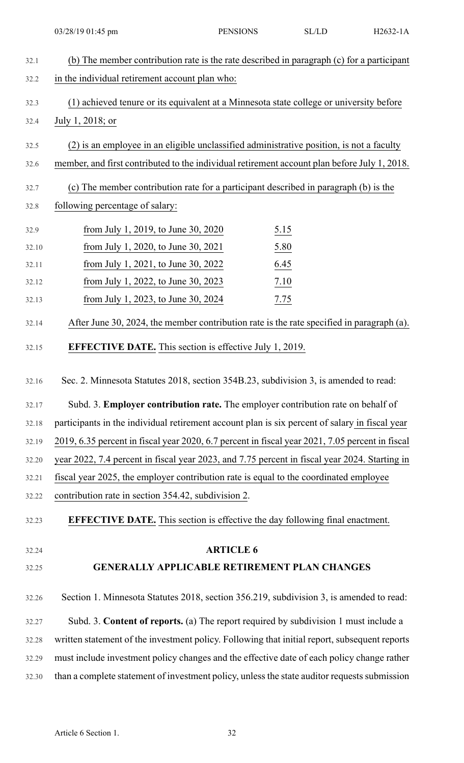| 32.1  | (b) The member contribution rate is the rate described in paragraph (c) for a participant       |
|-------|-------------------------------------------------------------------------------------------------|
| 32.2  | in the individual retirement account plan who:                                                  |
| 32.3  | (1) achieved tenure or its equivalent at a Minnesota state college or university before         |
| 32.4  | July 1, 2018; or                                                                                |
| 32.5  | (2) is an employee in an eligible unclassified administrative position, is not a faculty        |
| 32.6  | member, and first contributed to the individual retirement account plan before July 1, 2018.    |
| 32.7  | (c) The member contribution rate for a participant described in paragraph (b) is the            |
| 32.8  | following percentage of salary:                                                                 |
| 32.9  | from July 1, 2019, to June 30, 2020<br>$\underline{5.15}$                                       |
| 32.10 | from July 1, 2020, to June 30, 2021<br>5.80                                                     |
| 32.11 | 6.45<br>from July 1, 2021, to June 30, 2022                                                     |
| 32.12 | 7.10<br>from July 1, 2022, to June 30, 2023                                                     |
| 32.13 | 7.75<br>from July 1, 2023, to June 30, 2024                                                     |
| 32.14 | After June 30, 2024, the member contribution rate is the rate specified in paragraph (a).       |
| 32.15 | <b>EFFECTIVE DATE.</b> This section is effective July 1, 2019.                                  |
| 32.16 | Sec. 2. Minnesota Statutes 2018, section 354B.23, subdivision 3, is amended to read:            |
| 32.17 | Subd. 3. Employer contribution rate. The employer contribution rate on behalf of                |
| 32.18 | participants in the individual retirement account plan is six percent of salary in fiscal year  |
| 32.19 | 2019, 6.35 percent in fiscal year 2020, 6.7 percent in fiscal year 2021, 7.05 percent in fiscal |
| 32.20 | year 2022, 7.4 percent in fiscal year 2023, and 7.75 percent in fiscal year 2024. Starting in   |
| 32.21 | fiscal year 2025, the employer contribution rate is equal to the coordinated employee           |
| 32.22 | contribution rate in section 354.42, subdivision 2.                                             |
| 32.23 | <b>EFFECTIVE DATE.</b> This section is effective the day following final enactment.             |
| 32.24 | <b>ARTICLE 6</b>                                                                                |
| 32.25 | <b>GENERALLY APPLICABLE RETIREMENT PLAN CHANGES</b>                                             |
|       |                                                                                                 |
| 32.26 | Section 1. Minnesota Statutes 2018, section 356.219, subdivision 3, is amended to read:         |
| 32.27 | Subd. 3. Content of reports. (a) The report required by subdivision 1 must include a            |
| 32.28 | written statement of the investment policy. Following that initial report, subsequent reports   |
| 32.29 | must include investment policy changes and the effective date of each policy change rather      |
| 32.30 | than a complete statement of investment policy, unless the state auditor requests submission    |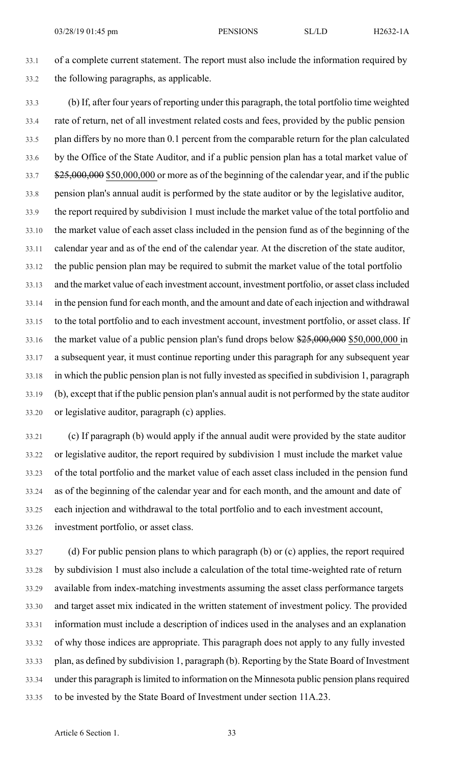33.1 of a complete current statement. The report must also include the information required by 33.2 the following paragraphs, as applicable.

33.3 (b) If, after four years of reporting under this paragraph, the total portfolio time weighted 33.4 rate of return, net of all investment related costs and fees, provided by the public pension 33.5 plan differs by no more than 0.1 percent from the comparable return for the plan calculated 33.6 by the Office of the State Auditor, and if a public pension plan has a total market value of 33.7 \$25,000,000 \$50,000,000 or more as of the beginning of the calendar year, and if the public 33.8 pension plan's annual audit is performed by the state auditor or by the legislative auditor, 33.9 the report required by subdivision 1 must include the market value of the total portfolio and 33.10 the market value of each asset class included in the pension fund as of the beginning of the 33.11 calendar year and as of the end of the calendar year. At the discretion of the state auditor, 33.12 the public pension plan may be required to submit the market value of the total portfolio 33.13 and the market value of each investment account, investment portfolio, or asset classincluded 33.14 in the pension fund for each month, and the amount and date of each injection and withdrawal 33.15 to the total portfolio and to each investment account, investment portfolio, or asset class. If 33.16 the market value of a public pension plan's fund drops below  $\frac{$25,000,000}{$25,000,000,000}$  in 33.17 a subsequent year, it must continue reporting under this paragraph for any subsequent year 33.18 in which the public pension plan is not fully invested asspecified in subdivision 1, paragraph 33.19 (b), except that if the public pension plan's annual audit is not performed by the state auditor 33.20 or legislative auditor, paragraph (c) applies.

33.21 (c) If paragraph (b) would apply if the annual audit were provided by the state auditor 33.22 or legislative auditor, the report required by subdivision 1 must include the market value 33.23 of the total portfolio and the market value of each asset class included in the pension fund 33.24 as of the beginning of the calendar year and for each month, and the amount and date of 33.25 each injection and withdrawal to the total portfolio and to each investment account, 33.26 investment portfolio, or asset class.

33.27 (d) For public pension plans to which paragraph (b) or (c) applies, the report required 33.28 by subdivision 1 must also include a calculation of the total time-weighted rate of return 33.29 available from index-matching investments assuming the asset class performance targets 33.30 and target asset mix indicated in the written statement of investment policy. The provided 33.31 information must include a description of indices used in the analyses and an explanation 33.32 of why those indices are appropriate. This paragraph does not apply to any fully invested 33.33 plan, as defined by subdivision 1, paragraph (b). Reporting by the State Board of Investment 33.34 under this paragraph islimited to information on the Minnesota public pension plansrequired 33.35 to be invested by the State Board of Investment under section 11A.23.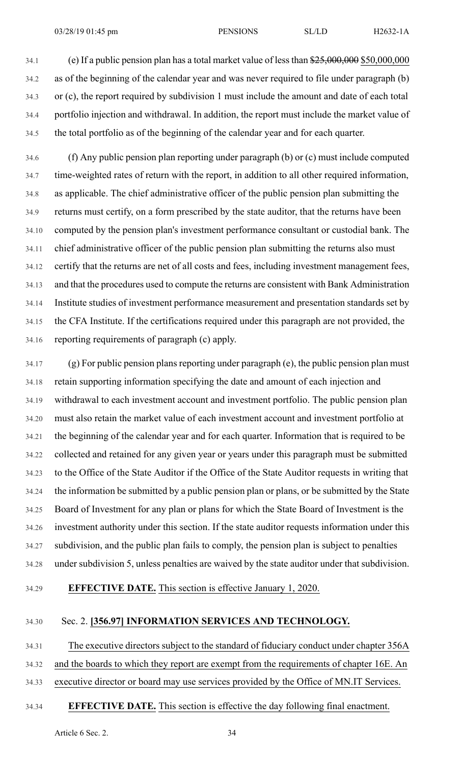34.1 (e) If a public pension plan has a total market value of lessthan \$25,000,000 \$50,000,000 34.2 as of the beginning of the calendar year and was never required to file under paragraph (b) 34.3 or (c), the report required by subdivision 1 must include the amount and date of each total 34.4 portfolio injection and withdrawal. In addition, the report must include the market value of 34.5 the total portfolio as of the beginning of the calendar year and for each quarter.

34.6 (f) Any public pension plan reporting under paragraph (b) or (c) must include computed 34.7 time-weighted rates of return with the report, in addition to all other required information, 34.8 as applicable. The chief administrative officer of the public pension plan submitting the 34.9 returns must certify, on a form prescribed by the state auditor, that the returns have been 34.10 computed by the pension plan's investment performance consultant or custodial bank. The 34.11 chief administrative officer of the public pension plan submitting the returns also must 34.12 certify that the returns are net of all costs and fees, including investment management fees, 34.13 and that the procedures used to compute the returns are consistent with Bank Administration 34.14 Institute studies of investment performance measurement and presentation standards set by 34.15 the CFA Institute. If the certifications required under this paragraph are not provided, the 34.16 reporting requirements of paragraph (c) apply.

34.17 (g) For public pension plans reporting under paragraph (e), the public pension plan must 34.18 retain supporting information specifying the date and amount of each injection and 34.19 withdrawal to each investment account and investment portfolio. The public pension plan 34.20 must also retain the market value of each investment account and investment portfolio at 34.21 the beginning of the calendar year and for each quarter. Information that is required to be 34.22 collected and retained for any given year or years under this paragraph must be submitted 34.23 to the Office of the State Auditor if the Office of the State Auditor requests in writing that 34.24 the information be submitted by a public pension plan or plans, or be submitted by the State 34.25 Board of Investment for any plan or plans for which the State Board of Investment is the 34.26 investment authority under this section. If the state auditor requests information under this 34.27 subdivision, and the public plan fails to comply, the pension plan is subject to penalties 34.28 under subdivision 5, unless penalties are waived by the state auditor under that subdivision.

34.29 **EFFECTIVE DATE.** This section is effective January 1, 2020.

## 34.30 Sec. 2. **[356.97] INFORMATION SERVICES AND TECHNOLOGY.**

34.31 The executive directors subject to the standard of fiduciary conduct under chapter 356A 34.32 and the boards to which they report are exempt from the requirements of chapter 16E. An 34.33 executive director or board may use services provided by the Office of MN.IT Services.

# 34.34 **EFFECTIVE DATE.** This section is effective the day following final enactment.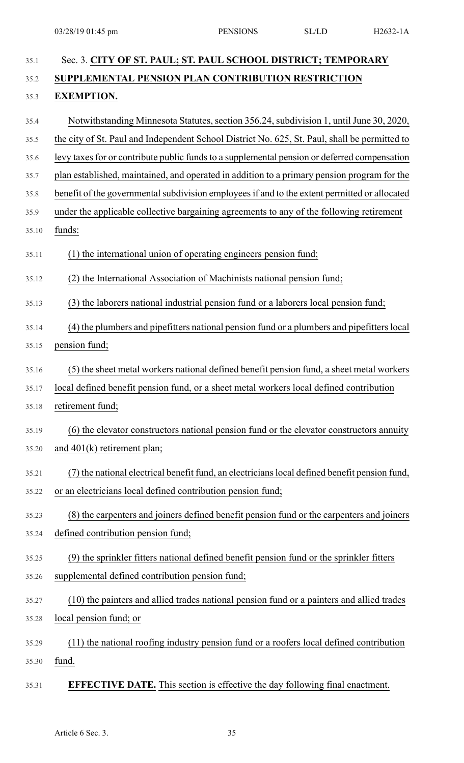| 35.1  | Sec. 3. CITY OF ST. PAUL; ST. PAUL SCHOOL DISTRICT; TEMPORARY                                 |
|-------|-----------------------------------------------------------------------------------------------|
| 35.2  | SUPPLEMENTAL PENSION PLAN CONTRIBUTION RESTRICTION                                            |
| 35.3  | <b>EXEMPTION.</b>                                                                             |
| 35.4  | Notwithstanding Minnesota Statutes, section 356.24, subdivision 1, until June 30, 2020,       |
| 35.5  | the city of St. Paul and Independent School District No. 625, St. Paul, shall be permitted to |
| 35.6  | levy taxes for or contribute public funds to a supplemental pension or deferred compensation  |
| 35.7  | plan established, maintained, and operated in addition to a primary pension program for the   |
| 35.8  | benefit of the governmental subdivision employees if and to the extent permitted or allocated |
| 35.9  | under the applicable collective bargaining agreements to any of the following retirement      |
| 35.10 | funds:                                                                                        |
| 35.11 | (1) the international union of operating engineers pension fund;                              |
| 35.12 | (2) the International Association of Machinists national pension fund;                        |
| 35.13 | (3) the laborers national industrial pension fund or a laborers local pension fund;           |
| 35.14 | (4) the plumbers and pipefitters national pension fund or a plumbers and pipefitters local    |
| 35.15 | pension fund;                                                                                 |
| 35.16 | (5) the sheet metal workers national defined benefit pension fund, a sheet metal workers      |
| 35.17 | local defined benefit pension fund, or a sheet metal workers local defined contribution       |
| 35.18 | retirement fund;                                                                              |
| 35.19 | (6) the elevator constructors national pension fund or the elevator constructors annuity      |
| 35.20 | and $401(k)$ retirement plan;                                                                 |
| 35.21 | (7) the national electrical benefit fund, an electricians local defined benefit pension fund, |
| 35.22 | or an electricians local defined contribution pension fund;                                   |
| 35.23 | (8) the carpenters and joiners defined benefit pension fund or the carpenters and joiners     |
| 35.24 | defined contribution pension fund;                                                            |
| 35.25 | (9) the sprinkler fitters national defined benefit pension fund or the sprinkler fitters      |
| 35.26 | supplemental defined contribution pension fund;                                               |
| 35.27 | (10) the painters and allied trades national pension fund or a painters and allied trades     |
| 35.28 | local pension fund; or                                                                        |
| 35.29 | (11) the national roofing industry pension fund or a roofers local defined contribution       |
| 35.30 | fund.                                                                                         |
| 35.31 | <b>EFFECTIVE DATE.</b> This section is effective the day following final enactment.           |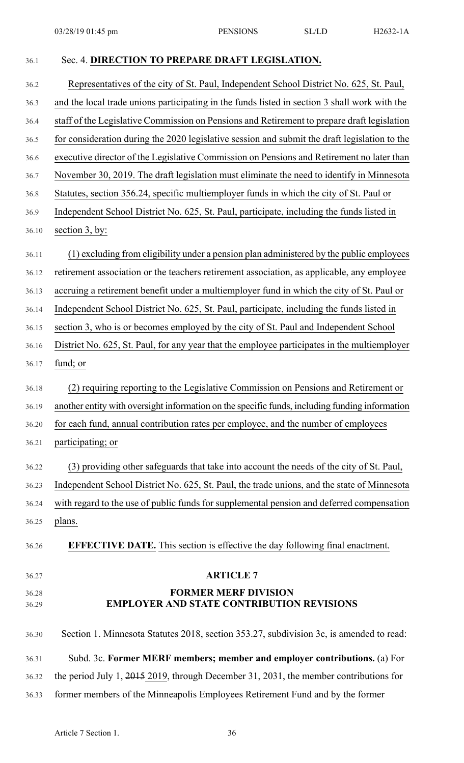36.1 Sec. 4. **DIRECTION TO PREPARE DRAFT LEGISLATION.** 36.2 Representatives of the city of St. Paul, Independent School District No. 625, St. Paul, 36.3 and the local trade unions participating in the funds listed in section 3 shall work with the 36.4 staff of the Legislative Commission on Pensions and Retirement to prepare draft legislation 36.5 for consideration during the 2020 legislative session and submit the draft legislation to the 36.6 executive director of the Legislative Commission on Pensions and Retirement no later than 36.7 November 30, 2019. The draft legislation must eliminate the need to identify in Minnesota 36.8 Statutes, section 356.24, specific multiemployer funds in which the city of St. Paul or 36.9 Independent School District No. 625, St. Paul, participate, including the funds listed in 36.10 section 3, by: 36.11 (1) excluding from eligibility under a pension plan administered by the public employees 36.12 retirement association or the teachers retirement association, as applicable, any employee 36.13 accruing a retirement benefit under a multiemployer fund in which the city of St. Paul or 36.14 Independent School District No. 625, St. Paul, participate, including the funds listed in 36.15 section 3, who is or becomes employed by the city of St. Paul and Independent School 36.16 District No. 625, St. Paul, for any year that the employee participates in the multiemployer 36.17 fund; or 36.18 (2) requiring reporting to the Legislative Commission on Pensions and Retirement or 36.19 another entity with oversight information on the specific funds, including funding information 36.20 for each fund, annual contribution rates per employee, and the number of employees 36.21 participating; or 36.22 (3) providing other safeguards that take into account the needs of the city of St. Paul, 36.23 Independent School District No. 625, St. Paul, the trade unions, and the state of Minnesota 36.24 with regard to the use of public funds for supplemental pension and deferred compensation 36.25 plans. 36.26 **EFFECTIVE DATE.** This section is effective the day following final enactment. 36.27 **ARTICLE 7** 36.28 **FORMER MERF DIVISION** 36.29 **EMPLOYER AND STATE CONTRIBUTION REVISIONS** 36.30 Section 1. Minnesota Statutes 2018, section 353.27, subdivision 3c, is amended to read: 36.31 Subd. 3c. **Former MERF members; member and employer contributions.** (a) For 36.32 the period July 1, 2015 2019, through December 31, 2031, the member contributions for 36.33 former members of the Minneapolis Employees Retirement Fund and by the former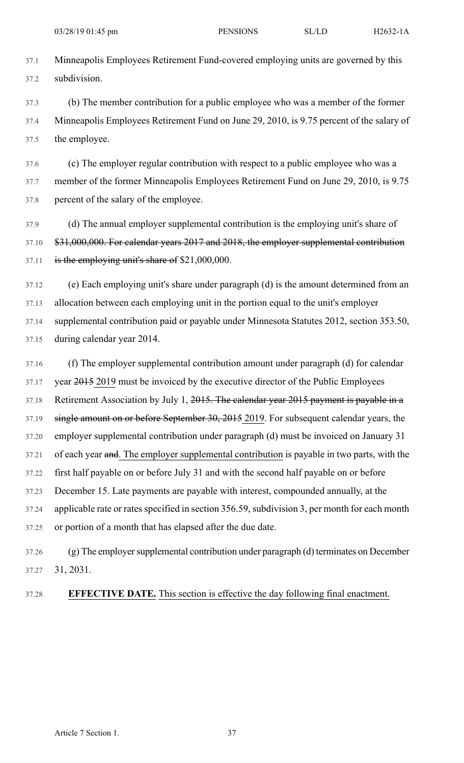37.1 Minneapolis Employees Retirement Fund-covered employing units are governed by this 37.2 subdivision.

37.3 (b) The member contribution for a public employee who was a member of the former 37.4 Minneapolis Employees Retirement Fund on June 29, 2010, is 9.75 percent of the salary of 37.5 the employee.

37.6 (c) The employer regular contribution with respect to a public employee who was a 37.7 member of the former Minneapolis Employees Retirement Fund on June 29, 2010, is 9.75 37.8 percent of the salary of the employee.

37.9 (d) The annual employer supplemental contribution is the employing unit's share of 37.10 \$31,000,000. For calendar years 2017 and 2018, the employer supplemental contribution 37.11 is the employing unit's share of \$21,000,000.

37.12 (e) Each employing unit's share under paragraph (d) is the amount determined from an 37.13 allocation between each employing unit in the portion equal to the unit's employer 37.14 supplemental contribution paid or payable under Minnesota Statutes 2012, section 353.50, 37.15 during calendar year 2014.

37.16 (f) The employer supplemental contribution amount under paragraph (d) for calendar 37.17 year  $\frac{2015}{2019}$  must be invoiced by the executive director of the Public Employees 37.18 Retirement Association by July 1, 2015. The calendar year 2015 payment is payable in a 37.19 single amount on or before September 30, 2015 2019. For subsequent calendar years, the 37.20 employer supplemental contribution under paragraph (d) must be invoiced on January 31 37.21 of each year and. The employer supplemental contribution is payable in two parts, with the 37.22 first half payable on or before July 31 and with the second half payable on or before 37.23 December 15. Late payments are payable with interest, compounded annually, at the 37.24 applicable rate or rates specified in section 356.59, subdivision 3, per month for each month 37.25 or portion of a month that has elapsed after the due date.

37.26 (g) The employersupplemental contribution under paragraph (d) terminates on December 37.27 31, 2031.

37.28 **EFFECTIVE DATE.** This section is effective the day following final enactment.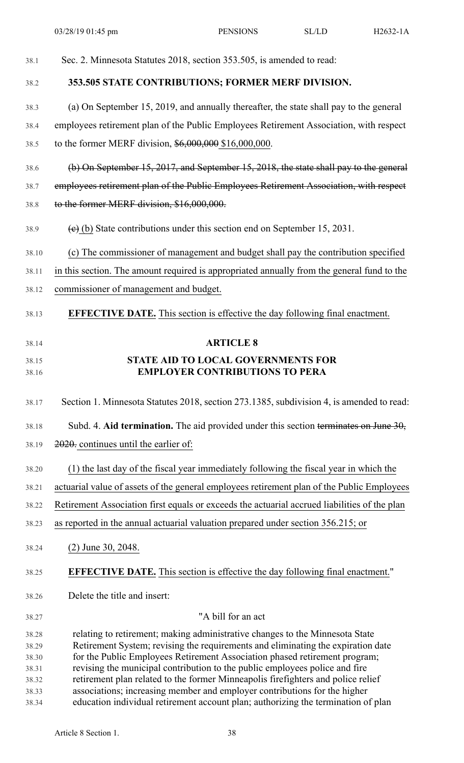| 38.1           | Sec. 2. Minnesota Statutes 2018, section 353.505, is amended to read:                                                                                          |
|----------------|----------------------------------------------------------------------------------------------------------------------------------------------------------------|
| 38.2           | 353.505 STATE CONTRIBUTIONS; FORMER MERF DIVISION.                                                                                                             |
| 38.3           | (a) On September 15, 2019, and annually thereafter, the state shall pay to the general                                                                         |
| 38.4           | employees retirement plan of the Public Employees Retirement Association, with respect                                                                         |
| 38.5           | to the former MERF division, $$6,000,000 $16,000,000$ .                                                                                                        |
| 38.6           | (b) On September 15, 2017, and September 15, 2018, the state shall pay to the general                                                                          |
| 38.7           | employees retirement plan of the Public Employees Retirement Association, with respect                                                                         |
| 38.8           | to the former MERF division, \$16,000,000.                                                                                                                     |
| 38.9           | $(e)$ (b) State contributions under this section end on September 15, 2031.                                                                                    |
| 38.10          | (c) The commissioner of management and budget shall pay the contribution specified                                                                             |
| 38.11          | in this section. The amount required is appropriated annually from the general fund to the                                                                     |
| 38.12          | commissioner of management and budget.                                                                                                                         |
| 38.13          | <b>EFFECTIVE DATE.</b> This section is effective the day following final enactment.                                                                            |
| 38.14          | <b>ARTICLE 8</b>                                                                                                                                               |
| 38.15          | <b>STATE AID TO LOCAL GOVERNMENTS FOR</b>                                                                                                                      |
| 38.16          | <b>EMPLOYER CONTRIBUTIONS TO PERA</b>                                                                                                                          |
| 38.17          | Section 1. Minnesota Statutes 2018, section 273.1385, subdivision 4, is amended to read:                                                                       |
| 38.18          | Subd. 4. Aid termination. The aid provided under this section terminates on June $30$ ,                                                                        |
| 38.19          | 2020. continues until the earlier of:                                                                                                                          |
| 38.20          | (1) the last day of the fiscal year immediately following the fiscal year in which the                                                                         |
| 38.21          | actuarial value of assets of the general employees retirement plan of the Public Employees                                                                     |
| 38.22          | Retirement Association first equals or exceeds the actuarial accrued liabilities of the plan                                                                   |
| 38.23          | as reported in the annual actuarial valuation prepared under section 356.215; or                                                                               |
| 38.24          | $(2)$ June 30, 2048.                                                                                                                                           |
| 38.25          | <b>EFFECTIVE DATE.</b> This section is effective the day following final enactment."                                                                           |
| 38.26          | Delete the title and insert:                                                                                                                                   |
| 38.27          | "A bill for an act                                                                                                                                             |
| 38.28          | relating to retirement; making administrative changes to the Minnesota State                                                                                   |
| 38.29          | Retirement System; revising the requirements and eliminating the expiration date<br>for the Public Employees Retirement Association phased retirement program; |
| 38.30<br>38.31 | revising the municipal contribution to the public employees police and fire                                                                                    |
| 38.32          | retirement plan related to the former Minneapolis firefighters and police relief                                                                               |
| 38.33          | associations; increasing member and employer contributions for the higher                                                                                      |
|                | education individual retirement account plan; authorizing the termination of plan                                                                              |